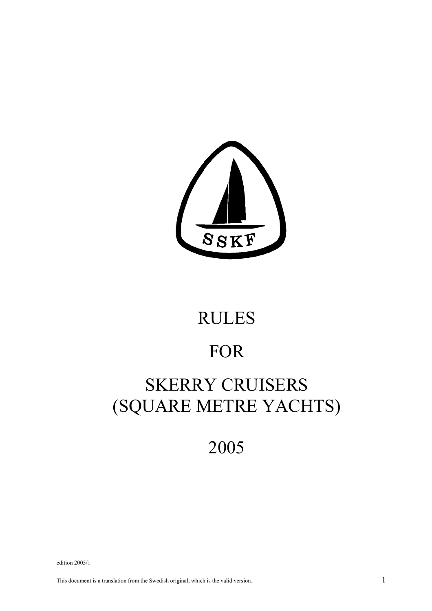

# RULES

## FOR

## SKERRY CRUISERS (SQUARE METRE YACHTS)

## 2005

edition 2005/1

This document is a translation from the Swedish original, which is the valid version. 1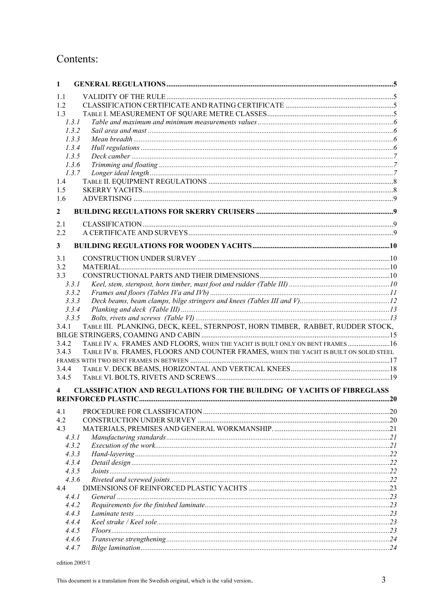## Contents:

| $\mathbf{1}$   |                                                                                       |  |
|----------------|---------------------------------------------------------------------------------------|--|
| 1.1            |                                                                                       |  |
| 1.2            |                                                                                       |  |
| 1.3            |                                                                                       |  |
| 1.3.1          |                                                                                       |  |
| 1.3.2          |                                                                                       |  |
| 1.3.3          |                                                                                       |  |
| 1.3.4          |                                                                                       |  |
| 1.3.5          |                                                                                       |  |
| 1.3.6          |                                                                                       |  |
| 1.3.7          |                                                                                       |  |
| 1.4            |                                                                                       |  |
| 1.5            |                                                                                       |  |
| 1.6            |                                                                                       |  |
| $\mathbf{2}$   |                                                                                       |  |
| 2.1            |                                                                                       |  |
| 2.2            |                                                                                       |  |
| 3              |                                                                                       |  |
| 3.1            |                                                                                       |  |
| 3.2            |                                                                                       |  |
| 3.3            |                                                                                       |  |
| 3.3.1          |                                                                                       |  |
| 3.3.2          |                                                                                       |  |
| 3.3.3          |                                                                                       |  |
| 3.3.4          |                                                                                       |  |
| 3.3.5          |                                                                                       |  |
| 3.4.1          | TABLE III. PLANKING, DECK, KEEL, STERNPOST, HORN TIMBER, RABBET, RUDDER STOCK,        |  |
|                |                                                                                       |  |
| 3.4.2          | TABLE IV A. FRAMES AND FLOORS, WHEN THE YACHT IS BUILT ONLY ON BENT FRAMES 16         |  |
| 3.4.3          | TABLE IV B. FRAMES, FLOORS AND COUNTER FRAMES, WHEN THE YACHT IS BUILT ON SOLID STEEL |  |
|                |                                                                                       |  |
| 3.4.4          |                                                                                       |  |
| 3.4.5          |                                                                                       |  |
| 4              | CLASSIFICATION AND REGULATIONS FOR THE BUILDING OF YACHTS OF FIBREGLASS               |  |
|                |                                                                                       |  |
| 4.1            |                                                                                       |  |
| 4.2            |                                                                                       |  |
| 4.3            |                                                                                       |  |
| 4.3.1          |                                                                                       |  |
| 4.3.2          |                                                                                       |  |
| 4.3.3          |                                                                                       |  |
| 4.3.4          |                                                                                       |  |
| 4.3.5          |                                                                                       |  |
| 4.3.6          |                                                                                       |  |
| 4.4            |                                                                                       |  |
| 4.4.1          |                                                                                       |  |
| 4.4.2          |                                                                                       |  |
| 4.4.3          |                                                                                       |  |
| 4.4.4<br>4.4.5 |                                                                                       |  |
| 4.4.6          |                                                                                       |  |
| 4.4.7          |                                                                                       |  |
|                |                                                                                       |  |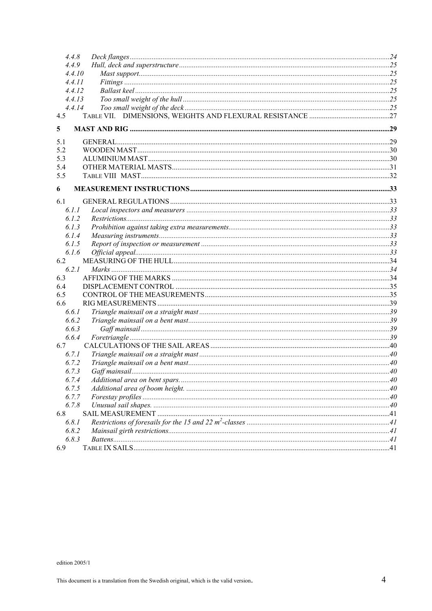| 4.4.8          |  |
|----------------|--|
| 4.4.9          |  |
| 4.4.10         |  |
| 4.4.II         |  |
| 4.4.12         |  |
| 4.4.13         |  |
| 4.4.14         |  |
| 4.5            |  |
| 5              |  |
| 5.1            |  |
| 5.2            |  |
| 5.3            |  |
| 5.4            |  |
| 5.5            |  |
| 6              |  |
| 6.1            |  |
| 6.1.1          |  |
| 6.1.2          |  |
| 6.1.3          |  |
| 6.1.4          |  |
| 6.1.5          |  |
| 6.1.6          |  |
| 6.2            |  |
| 6.2.1          |  |
| 6.3            |  |
| 6.4            |  |
| 6.5            |  |
| 6.6            |  |
| 6.6.1          |  |
| 6.6.2          |  |
| 6.6.3<br>6.6.4 |  |
| 6.7            |  |
| 6.7.1          |  |
| 6.7.2          |  |
| 6.7.3          |  |
| 6.7.4          |  |
| 6.7.5          |  |
| 6.7.7          |  |
| 6.7.8          |  |
| 6.8            |  |
| 6.8.1          |  |
| 6.8.2          |  |
| 6.8.3          |  |
| 6.9            |  |
|                |  |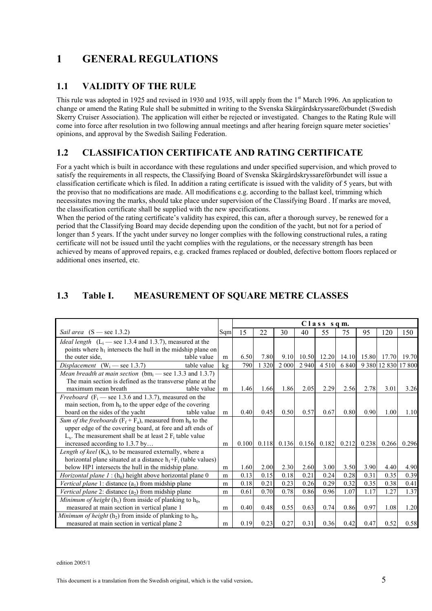## **1 GENERAL REGULATIONS**

## **1.1 VALIDITY OF THE RULE**

This rule was adopted in 1925 and revised in 1930 and 1935, will apply from the 1<sup>st</sup> March 1996. An application to change or amend the Rating Rule shall be submitted in writing to the Svenska Skärgårdskryssareförbundet (Swedish Skerry Cruiser Association). The application will either be rejected or investigated. Changes to the Rating Rule will come into force after resolution in two following annual meetings and after hearing foreign square meter societies' opinions, and approval by the Swedish Sailing Federation.

## **1.2 CLASSIFICATION CERTIFICATE AND RATING CERTIFICATE**

For a yacht which is built in accordance with these regulations and under specified supervision, and which proved to satisfy the requirements in all respects, the Classifying Board of Svenska Skärgårdskryssareförbundet will issue a classification certificate which is filed. In addition a rating certificate is issued with the validity of 5 years, but with the proviso that no modifications are made. All modifications e.g. according to the ballast keel, trimming which necessitates moving the marks, should take place under supervision of the Classifying Board . If marks are moved, the classification certificate shall be supplied with the new specifications.

When the period of the rating certificate's validity has expired, this can, after a thorough survey, be renewed for a period that the Classifying Board may decide depending upon the condition of the yacht, but not for a period of longer than 5 years. If the yacht under survey no longer complies with the following constructional rules, a rating certificate will not be issued until the yacht complies with the regulations, or the necessary strength has been achieved by means of approved repairs, e.g. cracked frames replaced or doubled, defective bottom floors replaced or additional ones inserted, etc.

## **1.3 Table I. MEASUREMENT OF SQUARE METRE CLASSES**

|                                                                       |             |      | Class sqm. |       |         |         |                     |         |       |                     |       |
|-----------------------------------------------------------------------|-------------|------|------------|-------|---------|---------|---------------------|---------|-------|---------------------|-------|
| Sail area $(S - \text{see } 1.3.2)$                                   | Sqm         | 15   | 22         | 30    | 40      | 55      | 75                  | 95      | 120   | 150                 |       |
| <i>Ideal length</i> $(L_i$ — see 1.3.4 and 1.3.7), measured at the    |             |      |            |       |         |         |                     |         |       |                     |       |
| points where $h_1$ intersects the hull in the midship plane on        |             |      |            |       |         |         |                     |         |       |                     |       |
| the outer side.                                                       | m           | 6.50 | 7.80       | 9.10  | 10.50   |         | 12.20 14.10 15.80   |         | 17.70 | 19.70               |       |
| Displacement $(W_i$ — see 1.3.7)                                      | table value | kg   | 790        | 320   | 2 0 0 0 | 2 9 4 0 | 4 5 1 0             | 6 8 4 0 |       | 9 380 12 830 17 800 |       |
| <i>Mean breadth at main section</i> ( $bm_i$ — see 1.3.3 and 1.3.7)   |             |      |            |       |         |         |                     |         |       |                     |       |
| The main section is defined as the transverse plane at the            |             |      |            |       |         |         |                     |         |       |                     |       |
| maximum mean breath                                                   | table value | m    | 1.46       | 1.66  | 1.86    | 2.05    | 2.29                | 2.56    | 2.78  | 3.01                | 3.26  |
| <i>Freeboard</i> ( $F_i$ — see 1.3.6 and 1.3.7), measured on the      |             |      |            |       |         |         |                     |         |       |                     |       |
| main section, from $h_0$ to the upper edge of the covering            |             |      |            |       |         |         |                     |         |       |                     |       |
| board on the sides of the yacht                                       | table value | m    | 0.40       | 0.45  | 0.50    | 0.57    | 0.67                | 0.80    | 0.90  | 1.00                | 1.10  |
| Sum of the freeboards ( $F_f + F_a$ ), measured from $h_0$ to the     |             |      |            |       |         |         |                     |         |       |                     |       |
| upper edge of the covering board, at fore and aft ends of             |             |      |            |       |         |         |                     |         |       |                     |       |
| $L_x$ . The measurement shall be at least 2 $F_i$ table value         |             |      |            |       |         |         |                     |         |       |                     |       |
| increased according to 1.3.7 by                                       |             | m    | 0.100      | 0.118 |         |         | $0.136$ 0.156 0.182 | 0.212   | 0.238 | 0.266               | 0.296 |
| Length of keel $(K_i)$ , to be measured externally, where a           |             |      |            |       |         |         |                     |         |       |                     |       |
| horizontal plane situated at a distance $h_1 + F_i$ (table values)    |             |      |            |       |         |         |                     |         |       |                     |       |
| below HP1 intersects the hull in the midship plane.                   |             | m    | 1.60       | 2.00  | 2.30    | 2.60    | 3.00                | 3.50    | 3.90  | 4.40                | 4.90  |
| <i>Horizontal plane 1</i> : $(h_0)$ height above horizontal plane 0   |             | m    | 0.13       | 0.15  | 0.18    | 0.21    | 0.24                | 0.28    | 0.31  | 0.35                | 0.39  |
| Vertical plane 1: distance $(a_1)$ from midship plane                 |             |      | 0.18       | 0.21  | 0.23    | 0.26    | 0.29                | 0.32    | 0.35  | 0.38                | 0.41  |
| Vertical plane 2: distance $(a_2)$ from midship plane                 |             |      | 0.61       | 0.70  | 0.78    | 0.86    | 0.96                | 1.07    | 1.17  | 1.27                | 1.37  |
| <i>Minimum of height</i> $(h_1)$ from inside of planking to $h_0$ ,   |             |      |            |       |         |         |                     |         |       |                     |       |
| measured at main section in vertical plane 1                          |             | m    | 0.40       | 0.48  | 0.55    | 0.63    | 0.74                | 0.86    | 0.97  | 1.08                | 1.20  |
| <i>Minimum of height</i> ( $h_2$ ) from inside of planking to $h_0$ , |             |      |            |       |         |         |                     |         |       |                     |       |
| measured at main section in vertical plane 2                          |             | m    | 0.19       | 0.23  | 0.27    | 0.31    | 0.36                | 0.42    | 0.47  | 0.52                | 0.58  |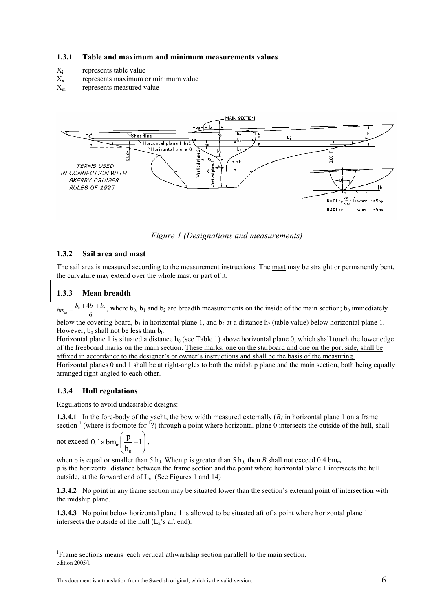#### **1.3.1 Table and maximum and minimum measurements values**

- $X_i$  represents table value<br> $X_x$  represents maximum
- represents maximum or minimum value
- $X<sub>m</sub>$  represents measured value



*Figure 1 (Designations and measurements)* 

#### **1.3.2 Sail area and mast**

The sail area is measured according to the measurement instructions. The mast may be straight or permanently bent, the curvature may extend over the whole mast or part of it.

#### **1.3.3 Mean breadth**

 $bm_m = \frac{b_0 + 4b_1 + b_2}{6}$ , where  $b_0$ ,  $b_1$  and  $b_2$  are breadth measurements on the inside of the main section;  $b_0$  immediately

below the covering board,  $b_1$  in horizontal plane 1, and  $b_2$  at a distance  $h_2$  (table value) below horizontal plane 1. However,  $b_0$  shall not be less than  $b_1$ .

Horizontal plane 1 is situated a distance  $h_0$  (see Table 1) above horizontal plane 0, which shall touch the lower edge of the freeboard marks on the main section. These marks, one on the starboard and one on the port side, shall be affixed in accordance to the designer's or owner's instructions and shall be the basis of the measuring. Horizontal planes 0 and 1 shall be at right-angles to both the midship plane and the main section, both being equally

arranged right-angled to each other.

#### **1.3.4 Hull regulations**

Regulations to avoid undesirable designs:

**1.3.4.1** In the fore-body of the yacht, the bow width measured externally (*B)* in horizontal plane 1 on a frame section  $\frac{1}{1}$  (where is footnote for  $\frac{1}{2}$ ) through a point where horizontal plane 0 intersects the outside of the hull, shall

not exceed 
$$
0.1 \times \text{bm}_{m} \left( \frac{p}{h_0} - 1 \right)
$$
,

 $\overline{a}$ 

when p is equal or smaller than 5 h<sub>0</sub>. When p is greater than 5 h<sub>0</sub>, then *B* shall not exceed 0.4 bm<sub>m</sub>. p is the horizontal distance between the frame section and the point where horizontal plane 1 intersects the hull outside, at the forward end of  $L_x$ . (See Figures 1 and 14)

**1.3.4.2** No point in any frame section may be situated lower than the section's external point of intersection with the midship plane.

**1.3.4.3** No point below horizontal plane 1 is allowed to be situated aft of a point where horizontal plane 1 intersects the outside of the hull  $(L_x)$ 's aft end).

edition 2005/1 <sup>1</sup> Frame sections means each vertical athwartship section parallell to the main section.

This document is a translation from the Swedish original, which is the valid version.  $\sim$  6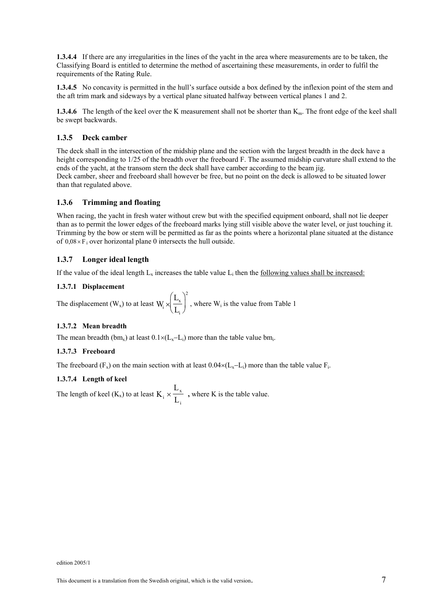**1.3.4.4** If there are any irregularities in the lines of the yacht in the area where measurements are to be taken, the Classifying Board is entitled to determine the method of ascertaining these measurements, in order to fulfil the requirements of the Rating Rule.

**1.3.4.5** No concavity is permitted in the hull's surface outside a box defined by the inflexion point of the stem and the aft trim mark and sideways by a vertical plane situated halfway between vertical planes 1 and 2.

**1.3.4.6** The length of the keel over the K measurement shall not be shorter than K<sub>m</sub>. The front edge of the keel shall be swept backwards.

#### **1.3.5 Deck camber**

The deck shall in the intersection of the midship plane and the section with the largest breadth in the deck have a height corresponding to 1/25 of the breadth over the freeboard F. The assumed midship curvature shall extend to the ends of the yacht, at the transom stern the deck shall have camber according to the beam jig. Deck camber, sheer and freeboard shall however be free, but no point on the deck is allowed to be situated lower than that regulated above.

#### **1.3.6 Trimming and floating**

When racing, the yacht in fresh water without crew but with the specified equipment onboard, shall not lie deeper than as to permit the lower edges of the freeboard marks lying still visible above the water level, or just touching it. Trimming by the bow or stern will be permitted as far as the points where a horizontal plane situated at the distance of  $0.08 \times F_i$  over horizontal plane 0 intersects the hull outside.

#### **1.3.7 Longer ideal length**

If the value of the ideal length  $L_x$  increases the table value  $L_i$  then the following values shall be increased:

#### **1.3.7.1 Displacement**

The displacement  $(W_x)$  to at least  $W_i$ L i  $^\gamma\rm{L}$ x i 2 × ſ  $\left(\frac{L_{x}}{L_{i}}\right)^{2}$ , where W<sub>i</sub> is the value from Table 1

#### **1.3.7.2 Mean breadth**

The mean breadth (bm<sub>x</sub>) at least  $0.1 \times (L_x - L_i)$  more than the table value bm<sub>i</sub>.

#### **1.3.7.3 Freeboard**

The freeboard (F<sub>x</sub>) on the main section with at least  $0.04\times (L_x-L_i)$  more than the table value F<sub>i</sub>.

#### **1.3.7.4 Length of keel**

The length of keel  $(K_x)$  to at least  $K$ L  $\int$ <sup>i</sup>  $\int$  L x i  $\times \frac{E_x}{I}$ , where K is the table value.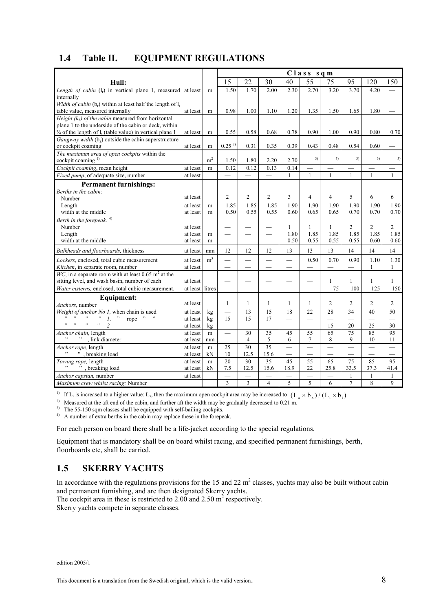| 1.4 | Table II. | <b>EQUIPMENT REGULATIONS</b> |
|-----|-----------|------------------------------|
|-----|-----------|------------------------------|

|                                                                                 |                 |                | Class sqm                |                          |                          |                          |                          |                          |                          |                |                          |
|---------------------------------------------------------------------------------|-----------------|----------------|--------------------------|--------------------------|--------------------------|--------------------------|--------------------------|--------------------------|--------------------------|----------------|--------------------------|
| Hull:                                                                           |                 |                | 15                       | 22                       | 30                       | 40                       | 55                       | 75                       | 95                       | 120            | 150                      |
| Length of cabin (l <sub>r</sub> ) in vertical plane 1, measured at least        |                 | m              | 1.50                     | 1.70                     | 2.00                     | 2.30                     | 2.70                     | 3.20                     | 3.70                     | 4.20           |                          |
| internally                                                                      |                 |                |                          |                          |                          |                          |                          |                          |                          |                |                          |
| Width of cabin $(b_r)$ within at least half the length of $l_r$                 |                 |                |                          |                          |                          |                          |                          |                          |                          |                |                          |
| table value, measured internally                                                | at least        | m              | 0.98                     | 1.00                     | 1.10                     | 1.20                     | 1.35                     | 1.50                     | 1.65                     | 1.80           |                          |
| Height $(h3)$ of the cabin measured from horizontal                             |                 |                |                          |                          |                          |                          |                          |                          |                          |                |                          |
| plane 1 to the underside of the cabin or deck, within                           |                 |                |                          |                          |                          |                          |                          |                          |                          |                |                          |
| $\frac{3}{4}$ of the length of l <sub>r</sub> (table value) in vertical plane 1 | at least        | m              | 0.55                     | 0.58                     | 0.68                     | 0.78                     | 0.90                     | 1.00                     | 0.90                     | 0.80           | 0.70                     |
| Gangway width $(b_e)$ outside the cabin superstructure                          |                 |                |                          |                          |                          |                          |                          |                          |                          |                |                          |
| or cockpit coaming                                                              | at least        | m              | $0.25^{2}$               | 0.31                     | 0.35                     | 0.39                     | 0.43                     | 0.48                     | 0.54                     | 0.60           |                          |
| The maximum area of open cockpits within the                                    |                 |                |                          |                          |                          |                          | 3)                       | 3)                       | 3)                       | 3)             | 3)                       |
| cockpit coaming <sup>1)</sup>                                                   |                 | m <sup>2</sup> | 1.50                     | 1.80                     | 2.20                     | 2.70                     |                          |                          |                          |                |                          |
| Cockpit coaming, mean height                                                    | at least        | m              | 0.12                     | 0.12                     | 0.13                     | 0.14                     |                          | $\overline{\phantom{0}}$ |                          |                |                          |
| Fixed pump, of adequate size, number                                            | at least        |                |                          |                          |                          | $\mathbf{1}$             | $\mathbf{1}$             | $\mathbf{1}$             | $\mathbf{1}$             | $\mathbf{1}$   | $\mathbf{1}$             |
| <b>Permanent furnishings:</b>                                                   |                 |                |                          |                          |                          |                          |                          |                          |                          |                |                          |
| Berths in the cabin:                                                            |                 |                |                          |                          |                          |                          |                          |                          |                          |                |                          |
| Number                                                                          | at least        |                | $\overline{c}$           | $\overline{2}$           | $\overline{c}$           | 3                        | 4                        | $\overline{4}$           | 5                        | 6              | 6                        |
| Length                                                                          | at least        | m              | 1.85                     | 1.85                     | 1.85                     | 1.90                     | 1.90                     | 1.90                     | 1.90                     | 1.90           | 1.90                     |
| width at the middle                                                             | at least        | m              | 0.50                     | 0.55                     | 0.55                     | 0.60                     | 0.65                     | 0.65                     | 0.70                     | 0.70           | 0.70                     |
| Berth in the forepeak: $4)$                                                     |                 |                |                          |                          |                          |                          |                          |                          |                          |                |                          |
| Number                                                                          | at least        |                |                          |                          |                          | 1                        | 1                        | 1                        | $\overline{2}$           | $\overline{c}$ | $\overline{2}$           |
| Length                                                                          | at least        | m              |                          | $\overline{\phantom{0}}$ |                          | 1.80                     | 1.85                     | 1.85                     | 1.85                     | 1.85           | 1.85                     |
| width at the middle                                                             | at least        | m              |                          |                          |                          | 0.50                     | 0.55                     | 0.55                     | 0.55                     | 0.60           | 0.60                     |
| Bulkheads and floorboards, thickness                                            | at least        | mm             | 12                       | 12                       | 12                       | 13                       | 13                       | 13                       | 14                       | 14             | 14                       |
| Lockers, enclosed, total cubic measurement                                      | at least        | m <sup>3</sup> |                          | $\overline{\phantom{0}}$ | $\overline{\phantom{0}}$ | $\overline{\phantom{0}}$ | 0.50                     | 0.70                     | 0.90                     | 1.10           | 1.30                     |
| Kitchen, in separate room, number                                               | at least        |                |                          |                          |                          |                          |                          |                          |                          | $\mathbf{1}$   | $\mathbf{1}$             |
| WC, in a separate room with at least 0.65 $m2$ at the                           |                 |                |                          |                          |                          |                          |                          |                          |                          |                |                          |
| sitting level, and wash basin, number of each                                   | at least        |                |                          |                          |                          |                          |                          | $\mathbf{1}$             | 1                        | 1              | 1                        |
| Water cisterns, enclosed, total cubic measurement.                              | at least litres |                |                          |                          |                          | $\overline{\phantom{0}}$ |                          | 75                       | 100                      | 125            | 150                      |
| Equipment:                                                                      |                 |                |                          |                          |                          |                          |                          |                          |                          |                |                          |
| Anchors, number                                                                 | at least        |                | $\mathbf{1}$             | $\mathbf{1}$             | $\mathbf{1}$             | $\mathbf{1}$             | 1                        | 2                        | $\overline{2}$           | $\overline{2}$ | $\overline{2}$           |
| Weight of anchor No 1, when chain is used                                       | at least        | kg             |                          | 13                       | 15                       | 18                       | 22                       | 28                       | 34                       | 40             | 50                       |
| $, \, \cdot$<br>$\rightarrow$<br>$, \,$<br>rope " "<br>$, ,$<br>$\mathcal{I}$ . | at least        | kg             | 15                       | 15                       | 17                       | $\overline{\phantom{0}}$ | $\overline{\phantom{0}}$ | $\overline{\phantom{0}}$ | $\overline{\phantom{0}}$ |                | $\overline{\phantom{0}}$ |
| ,,<br>,,<br>$\overline{\mathfrak{Z}}$                                           | at least        | kg             | $\overline{\phantom{0}}$ | $\overline{\phantom{0}}$ | $\overline{\phantom{0}}$ | $\overline{\phantom{0}}$ | $\overline{\phantom{0}}$ | 15                       | 20                       | 25             | 30                       |
| Anchor chain, length                                                            | at least        | m              | $\overline{\phantom{0}}$ | 30                       | 35                       | 45                       | 55                       | 65                       | 75                       | 85             | 95                       |
| , link diameter                                                                 | at least        | mm             |                          | $\overline{4}$           | 5                        | 6                        | $\overline{7}$           | 8                        | 9                        | 10             | 11                       |
| Anchor rope, length                                                             | at least        | m              | 25                       | 30                       | 35                       | $\overline{\phantom{0}}$ | ÷,                       | $\overline{\phantom{0}}$ | $\overline{\phantom{0}}$ | $\equiv$       | $\equiv$                 |
| ", breaking load                                                                | at least        | kN             | 10                       | 12.5                     | 15.6                     | $\overline{\phantom{0}}$ |                          |                          |                          |                |                          |
| Towing rope, length                                                             | at least        | m              | 20                       | 30                       | 35                       | 45                       | 55                       | 65                       | 75                       | 85             | 95                       |
| ", breaking load                                                                | at least        | kN             | 7.5                      | 12.5                     | 15.6                     | 18.9                     | 22                       | 25.8                     | 33.5                     | 37.3           | 41.4                     |
| Anchor capstan, number                                                          | at least        |                | $\overline{\phantom{0}}$ | $\overline{\phantom{0}}$ | $\overline{\phantom{0}}$ | $\overline{\phantom{0}}$ | $\overline{\phantom{0}}$ | $\overline{\phantom{0}}$ | $\mathbf{1}$             | 1              | 1                        |
| Maximum crew whilst racing: Number                                              |                 |                | 3                        | 3                        | $\overline{4}$           | 5                        | 5                        | 6                        | $\overline{7}$           | 8              | $\mathbf{Q}$             |

<sup>1)</sup> If L<sub>i</sub> is increased to a higher value: L<sub>x</sub>, then the maximum open cockpit area may be increased to:  $(L_x \times b_y)/(L_i \times b_i)$ 

<sup>2)</sup> Measured at the aft end of the cabin, and further aft the width may be gradually decreased to 0.21 m.

<sup>3)</sup> The 55-150 sqm classes shall be equipped with self-bailing cockpits.

<sup>4)</sup> A number of extra berths in the cabin may replace these in the forepeak.

For each person on board there shall be a life-jacket according to the special regulations.

Equipment that is mandatory shall be on board whilst racing, and specified permanent furnishings, berth, floorboards etc, shall be carried.

## **1.5 SKERRY YACHTS**

In accordance with the regulations provisions for the 15 and 22  $m^2$  classes, yachts may also be built without cabin and permanent furnishing, and are then designated Skerry yachts.

The cockpit area in these is restricted to 2.00 and 2.50  $m^2$  respectively.

Skerry yachts compete in separate classes.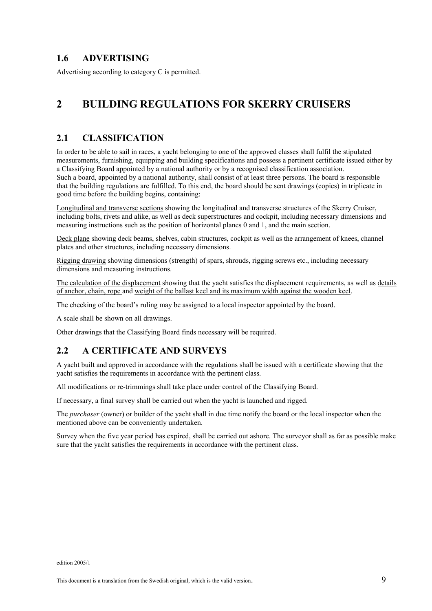#### **1.6 ADVERTISING**

Advertising according to category C is permitted.

## **2 BUILDING REGULATIONS FOR SKERRY CRUISERS**

## **2.1 CLASSIFICATION**

In order to be able to sail in races, a yacht belonging to one of the approved classes shall fulfil the stipulated measurements, furnishing, equipping and building specifications and possess a pertinent certificate issued either by a Classifying Board appointed by a national authority or by a recognised classification association. Such a board, appointed by a national authority, shall consist of at least three persons. The board is responsible that the building regulations are fulfilled. To this end, the board should be sent drawings (copies) in triplicate in good time before the building begins, containing:

Longitudinal and transverse sections showing the longitudinal and transverse structures of the Skerry Cruiser, including bolts, rivets and alike, as well as deck superstructures and cockpit, including necessary dimensions and measuring instructions such as the position of horizontal planes 0 and 1, and the main section.

Deck plane showing deck beams, shelves, cabin structures, cockpit as well as the arrangement of knees, channel plates and other structures, including necessary dimensions.

Rigging drawing showing dimensions (strength) of spars, shrouds, rigging screws etc., including necessary dimensions and measuring instructions.

The calculation of the displacement showing that the yacht satisfies the displacement requirements, as well as details of anchor, chain, rope and weight of the ballast keel and its maximum width against the wooden keel.

The checking of the board's ruling may be assigned to a local inspector appointed by the board.

A scale shall be shown on all drawings.

Other drawings that the Classifying Board finds necessary will be required.

## **2.2 A CERTIFICATE AND SURVEYS**

A yacht built and approved in accordance with the regulations shall be issued with a certificate showing that the yacht satisfies the requirements in accordance with the pertinent class.

All modifications or re-trimmings shall take place under control of the Classifying Board.

If necessary, a final survey shall be carried out when the yacht is launched and rigged.

The *purchaser* (owner) or builder of the yacht shall in due time notify the board or the local inspector when the mentioned above can be conveniently undertaken.

Survey when the five year period has expired, shall be carried out ashore. The surveyor shall as far as possible make sure that the yacht satisfies the requirements in accordance with the pertinent class.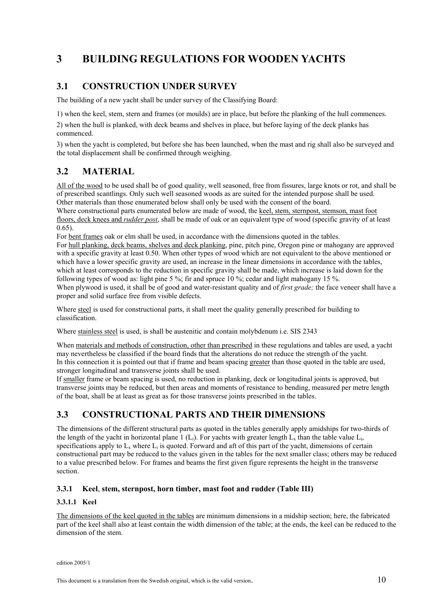## **3 BUILDING REGULATIONS FOR WOODEN YACHTS**

## **3.1 CONSTRUCTION UNDER SURVEY**

The building of a new yacht shall be under survey of the Classifying Board:

1) when the keel, stem, stern and frames (or moulds) are in place, but before the planking of the hull commences.

2) when the hull is planked, with deck beams and shelves in place, but before laying of the deck planks has commenced.

3) when the yacht is completed, but before she has been launched, when the mast and rig shall also be surveyed and the total displacement shall be confirmed through weighing.

## **3.2 MATERIAL**

All of the wood to be used shall be of good quality, well seasoned, free from fissures, large knots or rot, and shall be of prescribed scantlings. Only such well seasoned woods as are suited for the intended purpose shall be used. Other materials than those enumerated below shall only be used with the consent of the board.

Where constructional parts enumerated below are made of wood, the keel, stem, sternpost, stemson, mast foot floors, deck knees and *rudder post*, shall be made of oak or an equivalent type of wood (specific gravity of at least 0.65).

For bent frames oak or elm shall be used, in accordance with the dimensions quoted in the tables.

For hull planking, deck beams, shelves and deck planking, pine, pitch pine, Oregon pine or mahogany are approved with a specific gravity at least 0.50. When other types of wood which are not equivalent to the above mentioned or which have a lower specific gravity are used, an increase in the linear dimensions in accordance with the tables, which at least corresponds to the reduction in specific gravity shall be made, which increase is laid down for the following types of wood as: light pine 5 %; fir and spruce 10 %; cedar and light mahogany 15 %.

When plywood is used, it shall be of good and water-resistant quality and of *first grade*; the face veneer shall have a proper and solid surface free from visible defects.

Where steel is used for constructional parts, it shall meet the quality generally prescribed for building to classification.

Where stainless steel is used, is shall be austenitic and contain molybdenum i.e. SIS 2343

When materials and methods of construction, other than prescribed in these regulations and tables are used, a yacht may nevertheless be classified if the board finds that the alterations do not reduce the strength of the yacht. In this connection it is pointed out that if frame and beam spacing greater than those quoted in the table are used, stronger longitudinal and transverse joints shall be used.

If smaller frame or beam spacing is used, no reduction in planking, deck or longitudinal joints is approved, but transverse joints may be reduced, but then areas and moments of resistance to bending, measured per metre length of the boat, shall be at least as great as for those transverse joints prescribed in the tables.

## **3.3 CONSTRUCTIONAL PARTS AND THEIR DIMENSIONS**

The dimensions of the different structural parts as quoted in the tables generally apply amidships for two-thirds of the length of the yacht in horizontal plane 1 (L<sub>i</sub>). For yachts with greater length  $L_x$  than the table value L<sub>i</sub>, specifications apply to  $L_x$  where  $L_i$  is quoted. Forward and aft of this part of the yacht, dimensions of certain constructional part may be reduced to the values given in the tables for the next smaller class; others may be reduced to a value prescribed below. For frames and beams the first given figure represents the height in the transverse section.

#### **3.3.1 Keel**, **stem, sternpost, horn timber, mast foot and rudder (Table III)**

#### **3.3.1.1 Keel**

The dimensions of the keel quoted in the tables are minimum dimensions in a midship section; here, the fabricated part of the keel shall also at least contain the width dimension of the table; at the ends, the keel can be reduced to the dimension of the stem.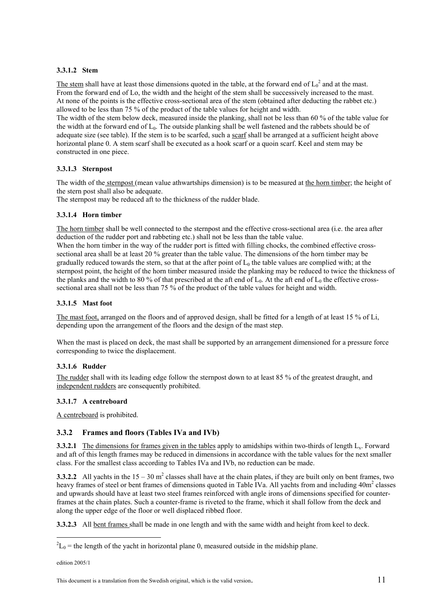#### **3.3.1.2 Stem**

The stem shall have at least those dimensions quoted in the table, at the forward end of  $L_0^2$  and at the mast. From the forward end of Lo, the width and the height of the stem shall be successively increased to the mast. At none of the points is the effective cross-sectional area of the stem (obtained after deducting the rabbet etc.) allowed to be less than 75 % of the product of the table values for height and width.

The width of the stem below deck, measured inside the planking, shall not be less than 60 % of the table value for the width at the forward end of L0. The outside planking shall be well fastened and the rabbets should be of adequate size (see table). If the stem is to be scarfed, such a scarf shall be arranged at a sufficient height above horizontal plane 0. A stem scarf shall be executed as a hook scarf or a quoin scarf. Keel and stem may be constructed in one piece.

#### **3.3.1.3 Sternpost**

The width of the sternpost (mean value athwartships dimension) is to be measured at the horn timber; the height of the stern post shall also be adequate.

The sternpost may be reduced aft to the thickness of the rudder blade.

#### **3.3.1.4 Horn timber**

The horn timber shall be well connected to the sternpost and the effective cross-sectional area (i.e. the area after deduction of the rudder port and rabbeting etc.) shall not be less than the table value.

When the horn timber in the way of the rudder port is fitted with filling chocks, the combined effective crosssectional area shall be at least 20 % greater than the table value. The dimensions of the horn timber may be gradually reduced towards the stern, so that at the after point of  $L_0$  the table values are complied with; at the sternpost point, the height of the horn timber measured inside the planking may be reduced to twice the thickness of the planks and the width to 80 % of that prescribed at the aft end of  $L_0$ . At the aft end of  $L_0$  the effective crosssectional area shall not be less than 75 % of the product of the table values for height and width.

#### **3.3.1.5 Mast foot**

The mast foot, arranged on the floors and of approved design, shall be fitted for a length of at least 15 % of Li, depending upon the arrangement of the floors and the design of the mast step.

When the mast is placed on deck, the mast shall be supported by an arrangement dimensioned for a pressure force corresponding to twice the displacement.

#### **3.3.1.6 Rudder**

The rudder shall with its leading edge follow the sternpost down to at least 85 % of the greatest draught, and independent rudders are consequently prohibited.

#### **3.3.1.7 A centreboard**

A centreboard is prohibited.

#### **3.3.2 Frames and floors (Tables IVa and IVb)**

**3.3.2.1** The dimensions for frames given in the tables apply to amidships within two-thirds of length L<sub>x</sub>. Forward and aft of this length frames may be reduced in dimensions in accordance with the table values for the next smaller class. For the smallest class according to Tables IVa and IVb, no reduction can be made.

**3.3.2.2** All yachts in the  $15 - 30$  m<sup>2</sup> classes shall have at the chain plates, if they are built only on bent frames, two heavy frames of steel or bent frames of dimensions quoted in Table IVa. All yachts from and including 40m<sup>2</sup> classes and upwards should have at least two steel frames reinforced with angle irons of dimensions specified for counterframes at the chain plates. Such a counter-frame is riveted to the frame, which it shall follow from the deck and along the upper edge of the floor or well displaced ribbed floor.

**3.3.2.3** All bent frames shall be made in one length and with the same width and height from keel to deck.

edition 2005/1

 $\overline{a}$ 

 ${}^{2}L_{0}$  = the length of the yacht in horizontal plane 0, measured outside in the midship plane.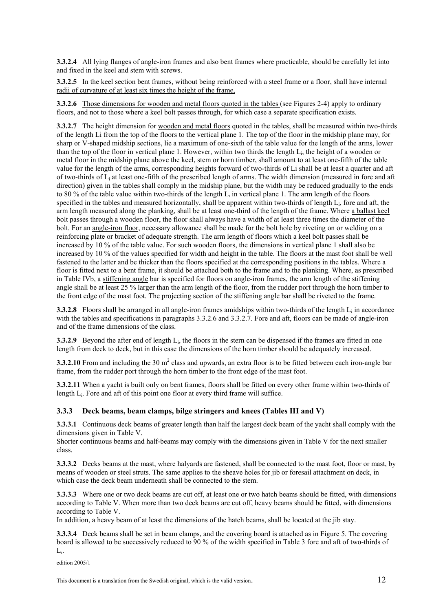**3.3.2.4** All lying flanges of angle-iron frames and also bent frames where practicable, should be carefully let into and fixed in the keel and stem with screws.

**3.3.2.5** In the keel section bent frames, without being reinforced with a steel frame or a floor, shall have internal radii of curvature of at least six times the height of the frame,

**3.3.2.6** Those dimensions for wooden and metal floors quoted in the tables (see Figures 2-4) apply to ordinary floors, and not to those where a keel bolt passes through, for which case a separate specification exists.

**3.3.2.7** The height dimension for wooden and metal floors quoted in the tables, shall be measured within two-thirds of the length Li from the top of the floors to the vertical plane 1. The top of the floor in the midship plane may, for sharp or V-shaped midship sections, lie a maximum of one-sixth of the table value for the length of the arms, lower than the top of the floor in vertical plane 1. However, within two thirds the length Li, the height of a wooden or metal floor in the midship plane above the keel, stem or horn timber, shall amount to at least one-fifth of the table value for the length of the arms, corresponding heights forward of two-thirds of Li shall be at least a quarter and aft of two-thirds of Li at least one-fifth of the prescribed length of arms. The width dimension (measured in fore and aft direction) given in the tables shall comply in the midship plane, but the width may be reduced gradually to the ends to 80 % of the table value within two-thirds of the length  $L_i$  in vertical plane 1. The arm length of the floors specified in the tables and measured horizontally, shall be apparent within two-thirds of length L<sub>i</sub>, fore and aft, the arm length measured along the planking, shall be at least one-third of the length of the frame. Where a ballast keel bolt passes through a wooden floor, the floor shall always have a width of at least three times the diameter of the bolt. For an angle-iron floor, necessary allowance shall be made for the bolt hole by riveting on or welding on a reinforcing plate or bracket of adequate strength. The arm length of floors which a keel bolt passes shall be increased by 10 % of the table value. For such wooden floors, the dimensions in vertical plane 1 shall also be increased by 10 % of the values specified for width and height in the table. The floors at the mast foot shall be well fastened to the latter and be thicker than the floors specified at the corresponding positions in the tables. Where a floor is fitted next to a bent frame, it should be attached both to the frame and to the planking. Where, as prescribed in Table IVb, a stiffening angle bar is specified for floors on angle-iron frames, the arm length of the stiffening angle shall be at least 25 % larger than the arm length of the floor, from the rudder port through the horn timber to the front edge of the mast foot. The projecting section of the stiffening angle bar shall be riveted to the frame.

**3.3.2.8** Floors shall be arranged in all angle-iron frames amidships within two-thirds of the length L<sub>i</sub> in accordance with the tables and specifications in paragraphs 3.3.2.6 and 3.3.2.7. Fore and aft, floors can be made of angle-iron and of the frame dimensions of the class.

**3.3.2.9** Beyond the after end of length  $L_i$ , the floors in the stern can be dispensed if the frames are fitted in one length from deck to deck, but in this case the dimensions of the horn timber should be adequately increased.

**3.3.2.10** From and including the 30  $m^2$  class and upwards, an extra floor is to be fitted between each iron-angle bar frame, from the rudder port through the horn timber to the front edge of the mast foot.

**3.3.2.11** When a yacht is built only on bent frames, floors shall be fitted on every other frame within two-thirds of length  $L_i$ . Fore and aft of this point one floor at every third frame will suffice.

#### **3.3.3 Deck beams, beam clamps, bilge stringers and knees (Tables III and V)**

**3.3.3.1** Continuous deck beams of greater length than half the largest deck beam of the yacht shall comply with the dimensions given in Table V.

Shorter continuous beams and half-beams may comply with the dimensions given in Table V for the next smaller class.

**3.3.3.2** Decks beams at the mast, where halyards are fastened, shall be connected to the mast foot, floor or mast, by means of wooden or steel struts. The same applies to the sheave holes for jib or foresail attachment on deck, in which case the deck beam underneath shall be connected to the stem.

**3.3.3.3** Where one or two deck beams are cut off, at least one or two hatch beams should be fitted, with dimensions according to Table V. When more than two deck beams are cut off, heavy beams should be fitted, with dimensions according to Table V.

In addition, a heavy beam of at least the dimensions of the hatch beams, shall be located at the jib stay.

**3.3.3.4** Deck beams shall be set in beam clamps, and the covering board is attached as in Figure 5. The covering board is allowed to be successively reduced to 90 % of the width specified in Table 3 fore and aft of two-thirds of Li.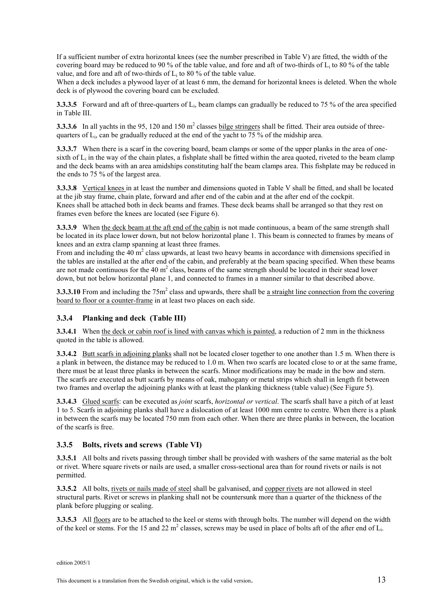If a sufficient number of extra horizontal knees (see the number prescribed in Table V) are fitted, the width of the covering board may be reduced to 90 % of the table value, and fore and aft of two-thirds of  $L_i$  to 80 % of the table value, and fore and aft of two-thirds of  $L_i$  to 80 % of the table value.

When a deck includes a plywood layer of at least 6 mm, the demand for horizontal knees is deleted. When the whole deck is of plywood the covering board can be excluded.

**3.3.3.5** Forward and aft of three-quarters of L<sub>i</sub>, beam clamps can gradually be reduced to 75 % of the area specified in Table III.

**3.3.3.6** In all yachts in the 95, 120 and 150 m<sup>2</sup> classes bilge stringers shall be fitted. Their area outside of threequarters of  $L_i$ , can be gradually reduced at the end of the yacht to 75 % of the midship area.

**3.3.3.7** When there is a scarf in the covering board, beam clamps or some of the upper planks in the area of onesixth of  $L_i$  in the way of the chain plates, a fishplate shall be fitted within the area quoted, riveted to the beam clamp and the deck beams with an area amidships constituting half the beam clamps area. This fishplate may be reduced in the ends to 75 % of the largest area.

**3.3.3.8** Vertical knees in at least the number and dimensions quoted in Table V shall be fitted, and shall be located at the jib stay frame, chain plate, forward and after end of the cabin and at the after end of the cockpit. Knees shall be attached both in deck beams and frames. These deck beams shall be arranged so that they rest on frames even before the knees are located (see Figure 6).

**3.3.3.9** When the deck beam at the aft end of the cabin is not made continuous, a beam of the same strength shall be located in its place lower down, but not below horizontal plane 1. This beam is connected to frames by means of knees and an extra clamp spanning at least three frames.

From and including the  $40 \text{ m}^2$  class upwards, at least two heavy beams in accordance with dimensions specified in the tables are installed at the after end of the cabin, and preferably at the beam spacing specified. When these beams are not made continuous for the 40  $m^2$  class, beams of the same strength should be located in their stead lower down, but not below horizontal plane 1, and connected to frames in a manner similar to that described above.

**3.3.3.10** From and including the 75m<sup>2</sup> class and upwards, there shall be a straight line connection from the covering board to floor or a counter-frame in at least two places on each side.

#### **3.3.4 Planking and deck (Table III)**

**3.3.4.1** When the deck or cabin roof is lined with canvas which is painted, a reduction of 2 mm in the thickness quoted in the table is allowed.

**3.3.4.2** Butt scarfs in adjoining planks shall not be located closer together to one another than 1.5 m. When there is a plank in between, the distance may be reduced to 1.0 m. When two scarfs are located close to or at the same frame, there must be at least three planks in between the scarfs. Minor modifications may be made in the bow and stern. The scarfs are executed as butt scarfs by means of oak, mahogany or metal strips which shall in length fit between two frames and overlap the adjoining planks with at least the planking thickness (table value) (See Figure 5).

**3.3.4.3** Glued scarfs: can be executed as *joint* scarfs, *horizontal or vertical*. The scarfs shall have a pitch of at least 1 to 5. Scarfs in adjoining planks shall have a dislocation of at least 1000 mm centre to centre. When there is a plank in between the scarfs may be located 750 mm from each other. When there are three planks in between, the location of the scarfs is free.

#### **3.3.5 Bolts, rivets and screws (Table VI)**

**3.3.5.1** All bolts and rivets passing through timber shall be provided with washers of the same material as the bolt or rivet. Where square rivets or nails are used, a smaller cross-sectional area than for round rivets or nails is not permitted.

**3.3.5.2** All bolts, rivets or nails made of steel shall be galvanised, and copper rivets are not allowed in steel structural parts. Rivet or screws in planking shall not be countersunk more than a quarter of the thickness of the plank before plugging or sealing.

**3.3.5.3** All floors are to be attached to the keel or stems with through bolts. The number will depend on the width of the keel or stems. For the 15 and 22  $m^2$  classes, screws may be used in place of bolts aft of the after end of  $L_i$ .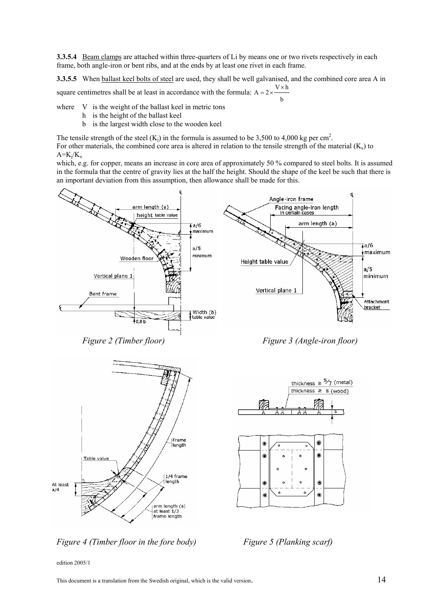**3.3.5.4** Beam clamps are attached within three-quarters of Li by means one or two rivets respectively in each frame, both angle-iron or bent ribs, and at the ends by at least one rivet in each frame.

**3.3.5.5** When ballast keel bolts of steel are used, they shall be well galvanised, and the combined core area A in square centimetres shall be at least in accordance with the formula:  $A = 2 \times \frac{V \times V}{V}$  $V \times h$ b

where V is the weight of the ballast keel in metric tons

- h is the height of the ballast keel
- b is the largest width close to the wooden keel

The tensile strength of the steel  $(K_j)$  in the formula is assumed to be 3,500 to 4,000 kg per cm<sup>2</sup>.

For other materials, the combined core area is altered in relation to the tensile strength of the material  $(K_x)$  to  $A=K_i/K_x$ 

which, e.g. for copper, means an increase in core area of approximately 50 % compared to steel bolts. It is assumed in the formula that the centre of gravity lies at the half the height. Should the shape of the keel be such that there is an important deviation from this assumption, then allowance shall be made for this.



*Figure 2 (Timber floor) Figure 3 (Angle-iron floor)* 



*Figure 4 (Timber floor in the fore body)* Figure 5 (Planking scarf)

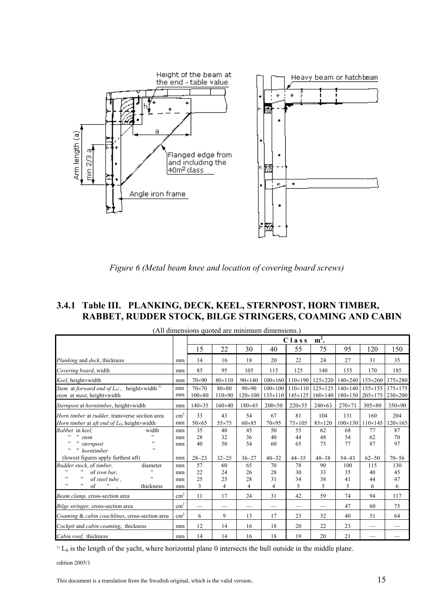

*Figure 6 (Metal beam knee and location of covering board screws)*

## **3.4.1 Table III. PLANKING, DECK, KEEL, STERNPOST, HORN TIMBER, RABBET, RUDDER STOCK, BILGE STRINGERS, COAMING AND CABIN**

| (All dimensions quoted are minimum dimensions.)                                                                              |                      |                               |                                  |                                  |                     |                                                     |                                    |                                   |                       |                             |  |  |  |  |
|------------------------------------------------------------------------------------------------------------------------------|----------------------|-------------------------------|----------------------------------|----------------------------------|---------------------|-----------------------------------------------------|------------------------------------|-----------------------------------|-----------------------|-----------------------------|--|--|--|--|
|                                                                                                                              |                      | $m2$ .<br>Class               |                                  |                                  |                     |                                                     |                                    |                                   |                       |                             |  |  |  |  |
|                                                                                                                              |                      | 15                            | 22                               | 30                               | 40                  | 55                                                  | 75                                 | 95                                | 120                   | 150                         |  |  |  |  |
| Planking and deck, thickness                                                                                                 | mm                   | 14                            | 16                               | 18                               | 20                  | 22                                                  | 24                                 | 27                                | 31                    | 35                          |  |  |  |  |
| Covering board, width                                                                                                        | mm                   | 85                            | 95                               | 105                              | 115                 | 125                                                 | 140                                | 155                               | 170                   | 185                         |  |  |  |  |
| Keel, height×width                                                                                                           | mm                   | $70\times90$                  | $80\times110$                    | 90×140                           | $100 \times 160$    | $110\times190$                                      | 125×220                            | $140\times240$                    | 155×260               | 175×280                     |  |  |  |  |
| Stem at forward end of $L_0$ :, height×width <sup>1)</sup><br>stem at mast, height×width                                     | mm<br>mm             | $70\times70$<br>$100\times80$ | $80\times80$<br>$110\times90$    | $90\times90$<br>$120\times100$   | $100\times100$      | $110\times110$<br>$135 \times 110$ 145 $\times$ 125 | $125\times125$<br>$160 \times 140$ | $140\times140$<br>180×150 205×175 | $155 \times 155$      | $175 \times 175$<br>230×200 |  |  |  |  |
| Sternpost at horntimber, height×width                                                                                        | mm                   | $140 \times 35$               | $160\times40$                    | 180×45                           | $200\times50$       | 220×55                                              | $240\times 63$                     | 270×71                            | $305\times80$         | $350\times90$               |  |  |  |  |
| Horn timber at rudder, transverse section area<br>Horn timber at aft end of $L_0$ , height×width                             | $\text{cm}^2$<br>mm  | 33<br>$50\times 65$           | 43<br>55×75                      | 54<br>$60\times85$               | 67<br>$70\times95$  | 81<br>75×105                                        | 104<br>85×120                      | 131<br>$100 \times 130$           | 160<br>$110\times145$ | 204<br>$120\times 165$      |  |  |  |  |
| Rabbet in keel,<br>width<br>, ,<br>, , ,<br>$\overline{\phantom{a}}$<br>stem<br>sternpost<br>, ,<br>, ,<br>, ,<br>horntimber | mm<br>mm<br>mm       | 35<br>28<br>40                | 40<br>32<br>50                   | 45<br>36<br>54                   | 50<br>40<br>60      | 55<br>44<br>65                                      | 62<br>48<br>75                     | 68<br>54<br>77                    | 77<br>62<br>87        | 87<br>70<br>97              |  |  |  |  |
| (lowest figures apply furthest aft)                                                                                          | mm                   | $28 - 23$                     | $32 - 25$                        | $36 - 27$                        | $40 - 32$           | $44 - 35$                                           | $48 - 38$                          | $54 - 43$                         | $62 - 50$             | $70 - 56$                   |  |  |  |  |
| Rudder stock, of timber,<br>diameter<br>,,<br>of iron bar,<br>, ,<br>, ,<br>of steel tube.<br>, ,<br>, ,<br>of<br>thickness  | mm<br>mm<br>mm<br>mm | 57<br>22<br>25<br>3           | 60<br>24<br>25<br>$\overline{4}$ | 65<br>26<br>28<br>$\overline{4}$ | 70<br>28<br>31<br>4 | 78<br>30<br>34<br>5                                 | 90<br>33<br>38<br>5                | 100<br>35<br>41<br>5              | 115<br>40<br>44<br>6  | 130<br>45<br>47<br>6        |  |  |  |  |
| Beam clamp, cross-section area                                                                                               | $\text{cm}^2$        | 11                            | 17                               | 24                               | 31                  | 42                                                  | 59                                 | 74                                | 94                    | 117                         |  |  |  |  |
| Bilge stringer, cross-section area                                                                                           | $\text{cm}^2$        | $\overline{\phantom{0}}$      |                                  |                                  |                     |                                                     |                                    | 47                                | 60                    | 75                          |  |  |  |  |
| Coaming & cabin coachlines, cross-section area                                                                               | $\text{cm}^2$        | 6                             | 9                                | 13                               | 17                  | 23                                                  | 32                                 | 40                                | 51                    | 64                          |  |  |  |  |
| Cockpit and cabin coaming, thickness                                                                                         | mm                   | 12                            | 14                               | 16                               | 18                  | 20                                                  | 22                                 | 23                                |                       |                             |  |  |  |  |
| Cabin roof, thickness                                                                                                        | mm                   | 14                            | 14                               | 16                               | 18                  | 19                                                  | 20                                 | 21                                |                       |                             |  |  |  |  |

(All dimensions quoted are minimum dimensions.)

 $1)$  L<sub>0</sub> is the length of the yacht, where horizontal plane 0 intersects the hull outside in the middle plane.

edition 2005/1

This document is a translation from the Swedish original, which is the valid version. 15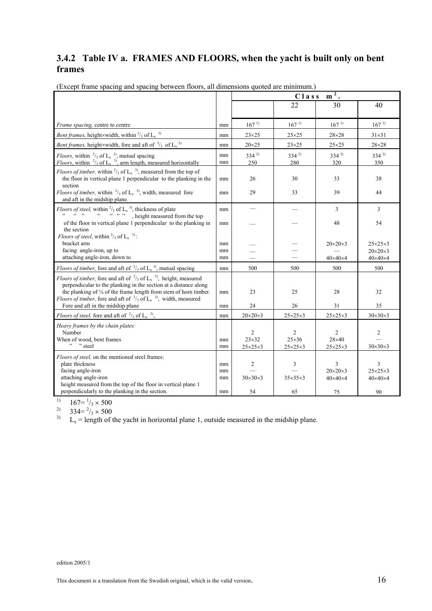## **3.4.2 Table IV a. FRAMES AND FLOORS, when the yacht is built only on bent frames**

|                                                                                                                                                                                                                                                                                                                                                                                                               |                      |                                                       | Class                                                 | $m2$ .                                                |                                                       |
|---------------------------------------------------------------------------------------------------------------------------------------------------------------------------------------------------------------------------------------------------------------------------------------------------------------------------------------------------------------------------------------------------------------|----------------------|-------------------------------------------------------|-------------------------------------------------------|-------------------------------------------------------|-------------------------------------------------------|
|                                                                                                                                                                                                                                                                                                                                                                                                               |                      |                                                       | 22                                                    | 30                                                    | 40                                                    |
|                                                                                                                                                                                                                                                                                                                                                                                                               |                      |                                                       |                                                       |                                                       |                                                       |
| <i>Frame spacing, centre to centre</i>                                                                                                                                                                                                                                                                                                                                                                        | mm                   | $167^{1}$                                             | 167 <sup>1</sup>                                      | 167 <sup>1</sup>                                      | $167^{1}$                                             |
| <i>Bent frames, height×width, within</i> $\frac{2}{3}$ of L <sub>x</sub> <sup>3)</sup>                                                                                                                                                                                                                                                                                                                        | mm                   | $23\times25$                                          | $25\times25$                                          | $28\times28$                                          | $31\times31$                                          |
| Bent frames, height×width, fore and aft of $\frac{2}{3}$ of L <sub>x</sub> <sup>3)</sup>                                                                                                                                                                                                                                                                                                                      | mm                   | $20\times25$                                          | $23\times25$                                          | $25\times25$                                          | $28\times28$                                          |
| <i>Floors</i> , within $\frac{2}{3}$ of L <sub>x</sub> <sup>3</sup> , mutual spacing<br><i>Floors</i> , within $\frac{2}{3}$ of L <sub>x</sub> <sup>3</sup> , arm length, measured horizontally                                                                                                                                                                                                               | mm<br>mm             | $334^{2}$<br>250                                      | $334^{2}$<br>280                                      | $334^{2}$<br>320                                      | $334^{2}$<br>350                                      |
| <i>Floors of timber,</i> within $\frac{2}{3}$ of L <sub>x</sub> <sup>3</sup> , measured from the top of<br>the floor in vertical plane 1 perpendicular to the planking in the<br>section                                                                                                                                                                                                                      | mm                   | 26                                                    | 30                                                    | 33                                                    | 38                                                    |
| <i>Floors of timber,</i> within $\frac{2}{3}$ of L <sub>x</sub> <sup>3</sup> , width, measured fore<br>and aft in the midship plane.                                                                                                                                                                                                                                                                          | mm                   | 29                                                    | 33                                                    | 39                                                    | 44                                                    |
| <i>Floors of steel,</i> within $\frac{2}{3}$ of $L_x$ <sup>3</sup> , thickness of plate<br>"""", height measured from the top", "", height measured from the top                                                                                                                                                                                                                                              | mm                   |                                                       |                                                       | 3                                                     | 3                                                     |
| of the floor in vertical plane 1 perpendicular to the planking in<br>the section                                                                                                                                                                                                                                                                                                                              | mm                   |                                                       |                                                       | 48                                                    | 54                                                    |
| <i>Floors of steel</i> , within $\frac{2}{3}$ of L <sub>x</sub> <sup>3)</sup> :<br>bracket arm<br>facing angle-iron, up to                                                                                                                                                                                                                                                                                    | mm<br>mm             |                                                       |                                                       | $20\times20\times3$                                   | $25\times25\times3$<br>$20\times20\times3$            |
| attaching angle-iron, down to                                                                                                                                                                                                                                                                                                                                                                                 | mm                   |                                                       |                                                       | $40\times40\times4$                                   | $40\times40\times4$                                   |
| <i>Floors of timber</i> , fore and aft of $\frac{2}{3}$ of L <sub>x</sub> <sup>3</sup> , mutual spacing                                                                                                                                                                                                                                                                                                       | mm                   | 500                                                   | 500                                                   | 500                                                   | 500                                                   |
| <i>Floors of timber</i> , fore and aft of $\frac{2}{3}$ of L <sub>x</sub> <sup>3</sup> , height, measured<br>perpendicular to the planking in the section at a distance along<br>the planking of $\frac{1}{4}$ of the frame length from stem of horn timber.<br><i>Floors of timber</i> , fore and aft of $\frac{2}{3}$ of L <sub>x</sub> <sup>3</sup> , width, measured<br>Fore and aft in the midship plane | mm                   | 23<br>24                                              | 25<br>26                                              | 28<br>31                                              | 32<br>35                                              |
|                                                                                                                                                                                                                                                                                                                                                                                                               | mm                   |                                                       |                                                       |                                                       |                                                       |
| <i>Floors of steel, fore and aft of</i> $\frac{2}{3}$ of L <sub>x</sub> <sup>3</sup> ,                                                                                                                                                                                                                                                                                                                        | mm                   | $20\times20\times3$                                   | $25\times25\times3$                                   | $25\times25\times3$                                   | $30\times30\times3$                                   |
| Heavy frames by the chain plates:<br>Number<br>When of wood, bent frames<br>" "steel                                                                                                                                                                                                                                                                                                                          | mm<br>mm             | $\overline{c}$<br>$23\times32$<br>$25\times25\times3$ | $\overline{2}$<br>$25\times36$<br>$25\times25\times3$ | 2<br>$28\times40$<br>$25\times25\times3$              | 2<br>$30\times30\times3$                              |
| Floors of steel, on the mentioned steel frames:<br>plate thickness<br>facing angle-iron<br>attaching angle-iron<br>height measured from the top of the floor in vertical plane 1<br>perpendicularly to the planking in the section.                                                                                                                                                                           | mm<br>mm<br>mm<br>mm | $\overline{c}$<br>$30\times30\times3$<br>54           | 3<br>$35\times35\times3$<br>65                        | 3<br>$20\times20\times3$<br>$40\times40\times4$<br>75 | 3<br>$25\times25\times3$<br>$40\times40\times4$<br>90 |
|                                                                                                                                                                                                                                                                                                                                                                                                               |                      |                                                       |                                                       |                                                       |                                                       |

(Except frame spacing and spacing between floors, all dimensions quoted are minimum.)

<sup>1)</sup>  $167 = \frac{1}{3} \times 500$ 

<sup>2)</sup>  $334 = \frac{2}{3} \times 500$ 

 $L_x$  = length of the yacht in horizontal plane 1, outside measured in the midship plane.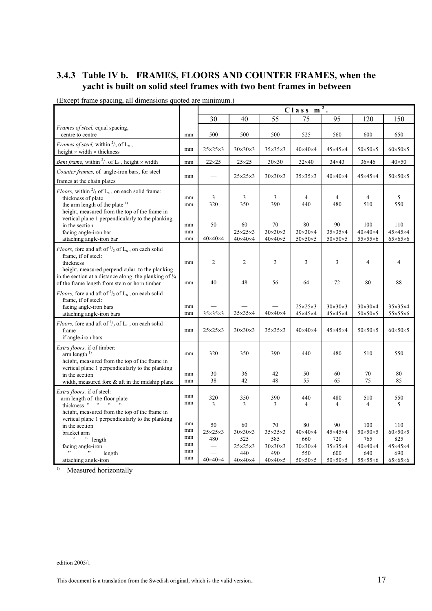## **3.4.3 Table IV b. FRAMES, FLOORS AND COUNTER FRAMES, when the yacht is built on solid steel frames with two bent frames in between**

|                                                                                                                                                                                                                                              |                                  |                                  |                                                                |                                                                | $C$ lass m                                                     | $\overline{2}$ .                                               |                                                                 |                                                                 |
|----------------------------------------------------------------------------------------------------------------------------------------------------------------------------------------------------------------------------------------------|----------------------------------|----------------------------------|----------------------------------------------------------------|----------------------------------------------------------------|----------------------------------------------------------------|----------------------------------------------------------------|-----------------------------------------------------------------|-----------------------------------------------------------------|
|                                                                                                                                                                                                                                              |                                  | 30                               | 40                                                             | 55                                                             | 75                                                             | 95                                                             | 120                                                             | 150                                                             |
| Frames of steel, equal spacing,<br>centre to centre                                                                                                                                                                                          | mm                               | 500                              | 500                                                            | 500                                                            | 525                                                            | 560                                                            | 600                                                             | 650                                                             |
| <i>Frames of steel</i> , within $\frac{2}{3}$ of $L_x$ ,<br>height $\times$ width $\times$ thickness                                                                                                                                         | mm                               | $25\times25\times3$              | $30\times30\times3$                                            | $35\times35\times3$                                            | $40\times40\times4$                                            | $45\times45\times4$                                            | $50\times50\times5$                                             | $60\times50\times5$                                             |
| <i>Bent frame,</i> within $\frac{2}{3}$ of L <sub>x</sub> , height $\times$ width                                                                                                                                                            | mm                               | $22\times25$                     | $25\times25$                                                   | $30\times30$                                                   | $32\times40$                                                   | $34\times43$                                                   | $36\times46$                                                    | $40\times50$                                                    |
| Counter frames, of angle-iron bars, for steel<br>frames at the chain plates                                                                                                                                                                  | mm                               |                                  | $25\times25\times3$                                            | $30\times30\times3$                                            | $35\times35\times3$                                            | $40\times40\times4$                                            | $45\times45\times4$                                             | $50\times50\times5$                                             |
| <i>Floors</i> , within $\frac{2}{3}$ of $L_x$ , on each solid frame:<br>thickness of plate<br>the arm length of the plate <sup>1)</sup><br>height, measured from the top of the frame in<br>vertical plane 1 perpendicularly to the planking | mm<br>mm                         | 3<br>320                         | 3<br>350                                                       | 3<br>390                                                       | 4<br>440                                                       | 4<br>480                                                       | $\overline{4}$<br>510                                           | 5<br>550                                                        |
| in the section.<br>facing angle-iron bar<br>attaching angle-iron bar                                                                                                                                                                         | mm<br>mm<br>mm                   | 50<br>$40\times40\times4$        | 60<br>$25\times25\times3$<br>$40\times40\times4$               | 70<br>$30\times30\times3$<br>$40\times40\times5$               | 80<br>$30\times30\times4$<br>$50\times50\times5$               | 90<br>$35\times35\times4$<br>$50\times50\times5$               | 100<br>$40\times40\times4$<br>$55\times55\times6$               | 110<br>$45\times45\times4$<br>$65\times65\times6$               |
| <i>Floors</i> , fore and aft of $\frac{2}{3}$ of $L_x$ , on each solid<br>frame, if of steel:<br>thickness<br>height, measured perpendicular to the planking<br>in the section at a distance along the planking of $\frac{1}{4}$             | mm                               | $\overline{c}$                   | $\overline{2}$                                                 | 3                                                              | 3                                                              | 3                                                              | $\overline{4}$                                                  | $\overline{4}$                                                  |
| of the frame length from stem or horn timber                                                                                                                                                                                                 | mm                               | 40                               | 48                                                             | 56                                                             | 64                                                             | 72                                                             | 80                                                              | 88                                                              |
| <i>Floors</i> , fore and aft of $\frac{2}{3}$ of $L_x$ , on each solid<br>frame, if of steel:<br>facing angle-iron bars<br>attaching angle-iron bars                                                                                         | mm<br>mm                         | $35\times35\times3$              | $35\times35\times4$                                            | $40\times40\times4$                                            | $25\times25\times3$<br>$45\times45\times4$                     | $30\times30\times3$<br>$45\times45\times4$                     | $30\times30\times4$<br>$50\times50\times5$                      | $35\times35\times4$<br>$55\times55\times6$                      |
| <i>Floors</i> , fore and aft of $\frac{2}{3}$ of $L_x$ , on each solid<br>frame<br>if angle-iron bars                                                                                                                                        | mm                               | $25\times25\times3$              | $30\times30\times3$                                            | $35\times35\times3$                                            | $40\times40\times4$                                            | $45\times45\times4$                                            | $50\times50\times5$                                             | $60\times50\times5$                                             |
| <i>Extra floors</i> , if of timber:<br>arm length $^{1}$<br>height, measured from the top of the frame in                                                                                                                                    | mm                               | 320                              | 350                                                            | 390                                                            | 440                                                            | 480                                                            | 510                                                             | 550                                                             |
| vertical plane 1 perpendicularly to the planking<br>in the section<br>width, measured fore $\&$ aft in the midship plane                                                                                                                     | mm<br>mm                         | 30<br>38                         | 36<br>42                                                       | 42<br>48                                                       | 50<br>55                                                       | 60<br>65                                                       | 70<br>75                                                        | 80<br>85                                                        |
| <i>Extra floors</i> , if of steel:<br>arm length of the floor plate<br>thickness " " " "<br>height, measured from the top of the frame in                                                                                                    | mm<br>mm                         | 320<br>3                         | 350<br>3                                                       | 390<br>3                                                       | 440<br>$\overline{4}$                                          | 480<br>4                                                       | 510<br>$\overline{4}$                                           | 550<br>5                                                        |
| vertical plane 1 perpendicularly to the planking<br>in the section<br>bracket arm<br>$\ddot{\phantom{0}}$<br>" length<br>facing angle-iron<br>$, ,$<br>length                                                                                | mm<br>mm<br>mm<br>mm<br>mm<br>mm | 50<br>$25\times25\times3$<br>480 | 60<br>$30\times30\times3$<br>525<br>$25\times25\times3$<br>440 | 70<br>$35\times35\times3$<br>585<br>$30\times30\times3$<br>490 | 80<br>$40\times40\times4$<br>660<br>$30\times30\times4$<br>550 | 90<br>$45\times45\times4$<br>720<br>$35\times35\times4$<br>600 | 100<br>$50\times50\times5$<br>765<br>$40\times40\times4$<br>640 | 110<br>$60\times50\times5$<br>825<br>$45\times45\times4$<br>690 |
| attaching angle-iron                                                                                                                                                                                                                         |                                  | $40\times40\times4$              | $40\times40\times4$                                            | $40\times40\times5$                                            | $50\times50\times5$                                            | $50\times50\times5$                                            | $55\times55\times6$                                             | $65\times65\times6$                                             |

#### (Except frame spacing, all dimensions quoted are minimum.)

<sup>1)</sup> Measured horizontally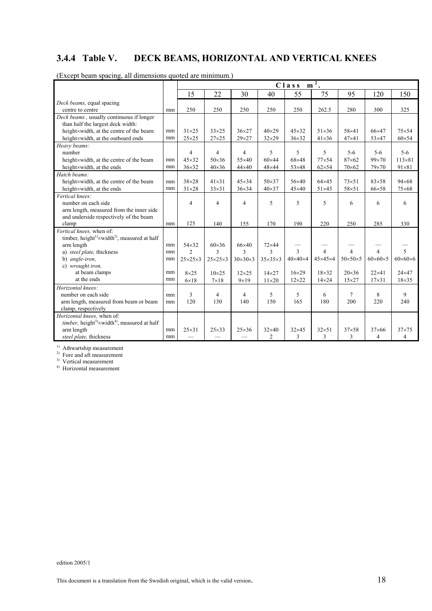## **3.4.4 Table V. DECK BEAMS, HORIZONTAL AND VERTICAL KNEES**

|                                                                                    |    |                                                      | 2<br>Class<br>m     |                     |                     |                     |                     |                     |                     |                     |  |  |  |  |  |
|------------------------------------------------------------------------------------|----|------------------------------------------------------|---------------------|---------------------|---------------------|---------------------|---------------------|---------------------|---------------------|---------------------|--|--|--|--|--|
|                                                                                    |    | 75<br>30<br>15<br>22<br>55<br>95<br>40<br>120<br>150 |                     |                     |                     |                     |                     |                     |                     |                     |  |  |  |  |  |
| Deck beams, equal spacing                                                          |    |                                                      |                     |                     |                     |                     |                     |                     |                     |                     |  |  |  |  |  |
| centre to centre                                                                   | mm | 250                                                  | 250                 | 250                 | 250                 | 250                 | 262.5               | 280                 | 300                 | 325                 |  |  |  |  |  |
| Deck beams, usually continuous if longer                                           |    |                                                      |                     |                     |                     |                     |                     |                     |                     |                     |  |  |  |  |  |
| than half the largest deck width:                                                  |    |                                                      |                     |                     |                     |                     |                     |                     |                     |                     |  |  |  |  |  |
| height×width, at the centre of the beam:                                           | mm | $31\times25$                                         | $33\times25$        | $36\times27$        | $40\times29$        | $45\times32$        | $51\times36$        | 58×41               | $66\times47$        | $75\times54$        |  |  |  |  |  |
| height×width, at the outboard ends                                                 | mm | $25\times25$                                         | $27\times25$        | $29\times27$        | $32\times29$        | $36\times32$        | $41\times36$        | $47\times41$        | $53\times47$        | $60\times54$        |  |  |  |  |  |
| Heavy beams:                                                                       |    |                                                      |                     |                     |                     |                     |                     |                     |                     |                     |  |  |  |  |  |
| number                                                                             |    | 4                                                    | 4                   | $\overline{4}$      | 5                   | 5                   | 5                   | $5 - 6$             | $5 - 6$             | $5 - 6$             |  |  |  |  |  |
| height×width, at the centre of the beam                                            | mm | $45\times32$                                         | $50\times36$        | $55\times40$        | $60\times44$        | 68×48               | $77\times54$        | $87\times 62$       | $99\times70$        | $113\times81$       |  |  |  |  |  |
| height×width, at the ends                                                          | mm | $36\times32$                                         | $40\times36$        | $44\times40$        | $48\times44$        | $53\times48$        | $62\times54$        | $70\times 62$       | $79\times70$        | $91 \times 81$      |  |  |  |  |  |
| Hatch beams:                                                                       |    |                                                      |                     |                     |                     |                     |                     |                     |                     |                     |  |  |  |  |  |
| height×width, at the centre of the beam                                            | mm | 38×28                                                | $41\times31$        | $45\times34$        | $50\times37$        | 56×40               | $64\times45$        | $73\times51$        | $83\times58$        | $94 \times 68$      |  |  |  |  |  |
| height×width, at the ends                                                          | mm | $31\times28$                                         | $33\times31$        | $36\times34$        | $40\times37$        | $45\times40$        | $51\times45$        | 58×51               | 66×58               | $75\times 68$       |  |  |  |  |  |
| Vertical knees:                                                                    |    |                                                      |                     |                     |                     |                     |                     |                     |                     |                     |  |  |  |  |  |
| number on each side                                                                |    | 4                                                    | 4                   | $\overline{4}$      | 5                   | 5                   | 5                   | 6                   | 6                   | 6                   |  |  |  |  |  |
| arm length, measured from the inner side                                           |    |                                                      |                     |                     |                     |                     |                     |                     |                     |                     |  |  |  |  |  |
| and underside respectively of the beam                                             |    |                                                      |                     |                     |                     |                     |                     |                     |                     |                     |  |  |  |  |  |
| clamp                                                                              | mm | 125                                                  | 140                 | 155                 | 170                 | 190                 | 220                 | 250                 | 285                 | 330                 |  |  |  |  |  |
| Vertical knees, when of:                                                           |    |                                                      |                     |                     |                     |                     |                     |                     |                     |                     |  |  |  |  |  |
| timber, height <sup>1)</sup> ×width <sup>2)</sup> , measured at half               |    |                                                      |                     |                     |                     |                     |                     |                     |                     |                     |  |  |  |  |  |
| arm length                                                                         | mm | 54×32                                                | $60\times36$        | 66×40               | 72×44               |                     |                     |                     |                     |                     |  |  |  |  |  |
| a) steel plate, thickness                                                          | mm | $\overline{c}$                                       | $\mathcal{E}$       | $\mathcal{E}$       | $\mathbf{3}$        | 3                   | $\overline{4}$      | $\overline{4}$      | $\overline{4}$      | 5                   |  |  |  |  |  |
| b) angle-iron,                                                                     | mm | $25\times25\times3$                                  | $25\times25\times3$ | $30\times30\times3$ | $35\times35\times3$ | $40\times40\times4$ | $45\times45\times4$ | $50\times50\times5$ | $60\times60\times5$ | $60\times60\times6$ |  |  |  |  |  |
| c) wrought iron.                                                                   |    |                                                      |                     |                     |                     |                     |                     |                     |                     |                     |  |  |  |  |  |
| at beam clamps                                                                     | mm | $8\times25$                                          | $10\times25$        | $12\times25$        | $14\times27$        | $16\times29$        | $18\times32$        | $20\times36$        | $22\times 41$       | $24\times47$        |  |  |  |  |  |
| at the ends                                                                        | mm | $6\times18$                                          | $7\times18$         | $9\times19$         | $11\times20$        | $12\times22$        | $14\times24$        | $15\times27$        | $17\times31$        | $18\times35$        |  |  |  |  |  |
| Horizontal knees:                                                                  |    |                                                      |                     |                     |                     |                     |                     |                     |                     |                     |  |  |  |  |  |
| number on each side                                                                | mm | 3                                                    | 4                   | 4                   | 5                   | 5                   | 6                   | 7                   | 8                   | 9                   |  |  |  |  |  |
| arm length, measured from beam or beam                                             | mm | 120                                                  | 130                 | 140                 | 150                 | 165                 | 180                 | 200                 | 220                 | 240                 |  |  |  |  |  |
| clamp, respectively                                                                |    |                                                      |                     |                     |                     |                     |                     |                     |                     |                     |  |  |  |  |  |
| Horizontal knees, when of:                                                         |    |                                                      |                     |                     |                     |                     |                     |                     |                     |                     |  |  |  |  |  |
| <i>timber</i> , height <sup>3</sup> $\times$ width <sup>4</sup> , measured at half |    |                                                      |                     |                     |                     |                     |                     |                     |                     |                     |  |  |  |  |  |
| arm length                                                                         | mm | $25\times31$                                         | $25\times33$        | $25\times36$        | $32\times40$        | $32\times45$        | $32\times51$        | $37\times58$        | $37\times 66$       | $37\times75$        |  |  |  |  |  |
| steel plate, thickness                                                             | mm |                                                      |                     |                     | $\overline{2}$      | 3                   | 3                   | 3                   | 4                   | 4                   |  |  |  |  |  |

(Except beam spacing, all dimensions quoted are minimum.)

<sup>1)</sup> Athwartship measurement

2) Fore and aft measurement

3) Vertical measurement

4) Horizontal measurement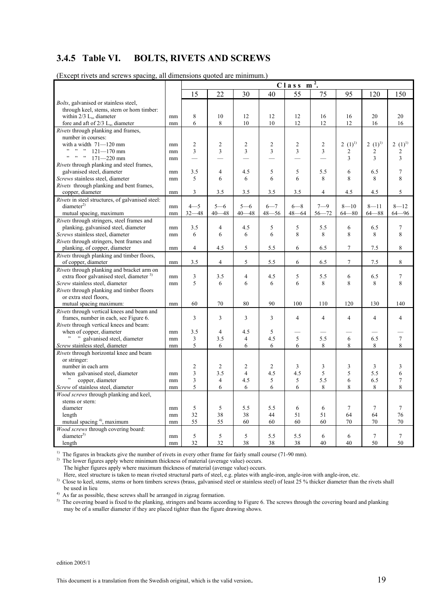## **3.4.5 Table VI. BOLTS, RIVETS AND SCREWS**

| $\alpha$ inverse and services spacing                             |    | an annonsions quotou are minimum;<br>$m2$ .<br>$C$ lass |                |                |                |                |                |                |                 |                         |  |  |  |
|-------------------------------------------------------------------|----|---------------------------------------------------------|----------------|----------------|----------------|----------------|----------------|----------------|-----------------|-------------------------|--|--|--|
|                                                                   |    | 15                                                      | 22             | 30             | 40             | 55             | 75             | 95             | 120             |                         |  |  |  |
|                                                                   |    |                                                         |                |                |                |                |                |                |                 | 150                     |  |  |  |
| Bolts, galvanised or stainless steel,                             |    |                                                         |                |                |                |                |                |                |                 |                         |  |  |  |
| through keel, stems, stern or horn timber:                        |    |                                                         |                |                |                |                |                |                |                 |                         |  |  |  |
| within $2/3$ L <sub>x</sub> , diameter                            | mm | 8                                                       | 10             | 12             | 12             | 12             | 16             | 16             | 20              | 20                      |  |  |  |
| fore and aft of $2/3$ L <sub>x</sub> , diameter                   | mm | 6                                                       | 8              | 10             | 10             | 12             | 12             | 12             | 16              | 16                      |  |  |  |
| Rivets through planking and frames,                               |    |                                                         |                |                |                |                |                |                |                 |                         |  |  |  |
| number in courses:                                                |    |                                                         |                |                |                |                |                |                |                 |                         |  |  |  |
| with a width 71-120 mm                                            | mm | $\overline{c}$                                          | $\overline{c}$ | $\overline{2}$ | $\overline{c}$ | $\overline{c}$ | $\overline{2}$ | $2(1)^{1}$     | $2(1)^{1}$      | 2 $(1)^{1}$             |  |  |  |
| $\frac{121}{121}$ mm                                              | mm | 3                                                       | 3              | 3              | 3              | 3              | 3              | 2              | 2               | $\overline{\mathbf{c}}$ |  |  |  |
| $\cdots$ , $\cdots$<br>$171 - 220$ mm                             | mm |                                                         |                |                |                |                |                | 3              | 3               | 3                       |  |  |  |
| <i>Rivets</i> through planking and steel frames,                  |    |                                                         |                |                |                |                |                |                |                 |                         |  |  |  |
| galvanised steel, diameter                                        | mm | 3.5                                                     | $\overline{4}$ | 4.5            | 5              | 5              | 5.5            | 6              | 6.5             | 7                       |  |  |  |
| Screws stainless steel, diameter                                  | mm | 5                                                       | 6              | 6              | 6              | 6              | 8              | 8              | 8               | 8                       |  |  |  |
| <i>Rivets</i> through planking and bent frames,                   |    |                                                         |                |                |                |                |                |                |                 |                         |  |  |  |
| copper, diameter                                                  | mm | 3                                                       | 3.5            | 3.5            | 3.5            | 3.5            | $\overline{4}$ | 4.5            | $4.5\,$         | 5                       |  |  |  |
| Rivets in steel structures, of galvanised steel:                  |    |                                                         |                |                |                |                |                |                |                 |                         |  |  |  |
| diameter <sup>2</sup>                                             | mm | $4 - 5$                                                 | $5 - 6$        | $5 - 6$        | $6 - 7$        | $6 - 8$        | $7 - 9$        | $8 - 10$       | $8 - 11$        | $8 - 12$                |  |  |  |
| mutual spacing, maximum                                           | mm | $32 - 48$                                               | $40 - 48$      | $40 - 48$      | $48 - 56$      | $48 - 64$      | $56 - 72$      | $64 - 80$      | $64 - 88$       | $64 - 96$               |  |  |  |
| Rivets through stringers, steel frames and                        |    |                                                         |                |                |                |                |                |                |                 |                         |  |  |  |
| planking, galvanised steel, diameter                              | mm | 3.5<br>6                                                | $\overline{4}$ | 4.5            | 5              | 5<br>8         | 5.5<br>8       | 6              | 6.5<br>8        | $\tau$<br>8             |  |  |  |
| Screws stainless steel, diameter                                  | mm |                                                         | 6              | 6              | 6              |                |                | 8              |                 |                         |  |  |  |
| Rivets through stringers, bent frames and                         |    | $\overline{4}$                                          |                |                |                |                |                | $\tau$         |                 |                         |  |  |  |
| planking, of copper, diameter                                     | mm |                                                         | 4.5            | 5              | 5.5            | 6              | 6.5            |                | 7.5             | 8                       |  |  |  |
| Rivets through planking and timber floors,<br>of copper, diameter | mm | 3.5                                                     | $\overline{4}$ | 5              | 5.5            | 6              | 6.5            | $\tau$         | 7.5             | 8                       |  |  |  |
| Rivets through planking and bracket arm on                        |    |                                                         |                |                |                |                |                |                |                 |                         |  |  |  |
| extra floor galvanised steel, diameter <sup>3)</sup>              | mm | 3                                                       | 3.5            | 4              | 4.5            | 5              | 5.5            | 6              | 6.5             | 7                       |  |  |  |
| Screw stainless steel, diameter                                   | mm | 5                                                       | 6              | 6              | 6              | 6              | 8              | 8              | 8               | 8                       |  |  |  |
| Rivets through planking and timber floors                         |    |                                                         |                |                |                |                |                |                |                 |                         |  |  |  |
| or extra steel floors,                                            |    |                                                         |                |                |                |                |                |                |                 |                         |  |  |  |
| mutual spacing maximum:                                           | mm | 60                                                      | 70             | 80             | 90             | 100            | 110            | 120            | 130             | 140                     |  |  |  |
| Rivets through vertical knees and beam and                        |    |                                                         |                |                |                |                |                |                |                 |                         |  |  |  |
| frames, number in each, see Figure 6.                             |    | 3                                                       | 3              | 3              | 3              | 4              | 4              | $\overline{4}$ | $\overline{4}$  | 4                       |  |  |  |
| Rivets through vertical knees and beam:                           |    |                                                         |                |                |                |                |                |                |                 |                         |  |  |  |
| when of copper, diameter                                          | mm | 3.5                                                     | 4              | 4.5            | 5              |                |                |                |                 |                         |  |  |  |
| " " galvanised steel, diameter                                    | mm | 3                                                       | 3.5            | 4              | 4.5            | 5              | 5.5            | 6              | 6.5             | $\overline{7}$          |  |  |  |
| Screw stainless steel, diameter                                   | mm | 5                                                       | 6              | 6              | 6              | 6              | 8              | 8              | 8               | 8                       |  |  |  |
| Rivets through horizontal knee and beam                           |    |                                                         |                |                |                |                |                |                |                 |                         |  |  |  |
| or stringer:                                                      |    |                                                         |                |                |                |                |                |                |                 |                         |  |  |  |
| number in each arm                                                |    | 2                                                       | $\overline{c}$ | 2              | 2              | 3              | 3              | 3              | 3               | 3                       |  |  |  |
| when galvanised steel, diameter                                   | mm | 3                                                       | 3.5            | $\overline{4}$ | 4.5            | 4.5            | 5              | 5              | 5.5             | 6                       |  |  |  |
| copper, diameter                                                  | mm | 3                                                       | $\overline{4}$ | 4.5            | 5              | 5              | 5.5            | 6              | 6.5             | $\tau$                  |  |  |  |
| Screw of stainless steel, diameter                                | mm | 5                                                       | 6              | 6              | 6              | 6              | 8              | 8              | 8               | 8                       |  |  |  |
| Wood screws through planking and keel,                            |    |                                                         |                |                |                |                |                |                |                 |                         |  |  |  |
| stems or stern:                                                   |    |                                                         |                |                |                |                |                |                |                 |                         |  |  |  |
| diameter                                                          | mm | 5                                                       | 5              | 5.5            | 5.5            | 6              | 6              | $\tau$         | $\overline{7}$  | $\tau$                  |  |  |  |
| length                                                            | mm | 32                                                      | 38             | 38             | 44             | 51             | 51             | 64             | 64              | 76                      |  |  |  |
| mutual spacing <sup>4)</sup> , maximum                            | mm | 55                                                      | 55             | 60             | 60             | 60             | 60             | 70             | 70              | 70                      |  |  |  |
| Wood screws through covering board:                               |    |                                                         |                |                |                |                |                |                |                 |                         |  |  |  |
| diameter <sup>5</sup>                                             | mm | 5                                                       | $\sqrt{5}$     | 5              | 5.5            | 5.5            | 6              | 6              | $7\overline{ }$ | $\tau$                  |  |  |  |
| length                                                            | mm | 32                                                      | 32             | 38             | 38             | 38             | 40             | 40             | 50              | 50                      |  |  |  |

(Except rivets and screws spacing, all dimensions quoted are minimum.)

<sup>1)</sup> The figures in brackets give the number of rivets in every other frame for fairly small course (71-90 mm).

 $^{2)}$  The lower figures apply where minimum thickness of material (average value) occurs.

The higher figures apply where maximum thickness of material (average value) occurs.

Here, steel structure is taken to mean riveted structural parts of steel, e.g. plates with angle-iron, angle-iron with angle-iron, etc.

 $3)$  Close to keel, stems, sterns or horn timbers screws (brass, galvanised steel or stainless steel) of least 25 % thicker diameter than the rivets shall be used in lieu

<sup>4)</sup> As far as possible, these screws shall be arranged in zigzag formation.

 $5)$  The covering board is fixed to the planking, stringers and beams according to Figure 6. The screws through the covering board and planking may be of a smaller diameter if they are placed tighter than the figure drawing shows.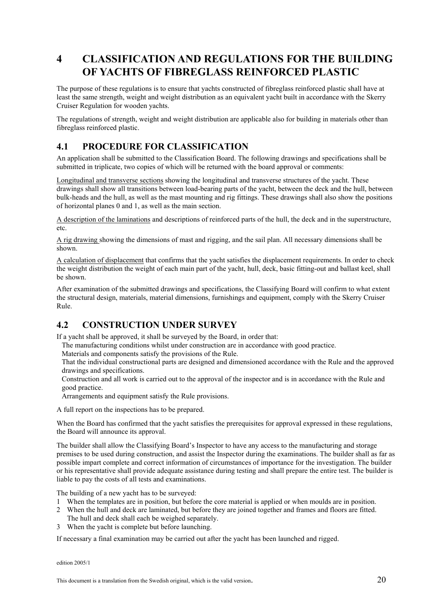## **4 CLASSIFICATION AND REGULATIONS FOR THE BUILDING OF YACHTS OF FIBREGLASS REINFORCED PLASTIC**

The purpose of these regulations is to ensure that yachts constructed of fibreglass reinforced plastic shall have at least the same strength, weight and weight distribution as an equivalent yacht built in accordance with the Skerry Cruiser Regulation for wooden yachts.

The regulations of strength, weight and weight distribution are applicable also for building in materials other than fibreglass reinforced plastic.

## **4.1 PROCEDURE FOR CLASSIFICATION**

An application shall be submitted to the Classification Board. The following drawings and specifications shall be submitted in triplicate, two copies of which will be returned with the board approval or comments:

Longitudinal and transverse sections showing the longitudinal and transverse structures of the yacht. These drawings shall show all transitions between load-bearing parts of the yacht, between the deck and the hull, between bulk-heads and the hull, as well as the mast mounting and rig fittings. These drawings shall also show the positions of horizontal planes 0 and 1, as well as the main section.

A description of the laminations and descriptions of reinforced parts of the hull, the deck and in the superstructure, etc.

A rig drawing showing the dimensions of mast and rigging, and the sail plan. All necessary dimensions shall be shown.

A calculation of displacement that confirms that the yacht satisfies the displacement requirements. In order to check the weight distribution the weight of each main part of the yacht, hull, deck, basic fitting-out and ballast keel, shall be shown.

After examination of the submitted drawings and specifications, the Classifying Board will confirm to what extent the structural design, materials, material dimensions, furnishings and equipment, comply with the Skerry Cruiser Rule.

## **4.2 CONSTRUCTION UNDER SURVEY**

If a yacht shall be approved, it shall be surveyed by the Board, in order that:

The manufacturing conditions whilst under construction are in accordance with good practice.

Materials and components satisfy the provisions of the Rule.

That the individual constructional parts are designed and dimensioned accordance with the Rule and the approved drawings and specifications.

Construction and all work is carried out to the approval of the inspector and is in accordance with the Rule and good practice.

Arrangements and equipment satisfy the Rule provisions.

A full report on the inspections has to be prepared.

When the Board has confirmed that the yacht satisfies the prerequisites for approval expressed in these regulations, the Board will announce its approval.

The builder shall allow the Classifying Board's Inspector to have any access to the manufacturing and storage premises to be used during construction, and assist the Inspector during the examinations. The builder shall as far as possible impart complete and correct information of circumstances of importance for the investigation. The builder or his representative shall provide adequate assistance during testing and shall prepare the entire test. The builder is liable to pay the costs of all tests and examinations.

The building of a new yacht has to be surveyed:

- 1 When the templates are in position, but before the core material is applied or when moulds are in position.
- 2 When the hull and deck are laminated, but before they are joined together and frames and floors are fitted. The hull and deck shall each be weighed separately.
- 3 When the yacht is complete but before launching.

If necessary a final examination may be carried out after the yacht has been launched and rigged.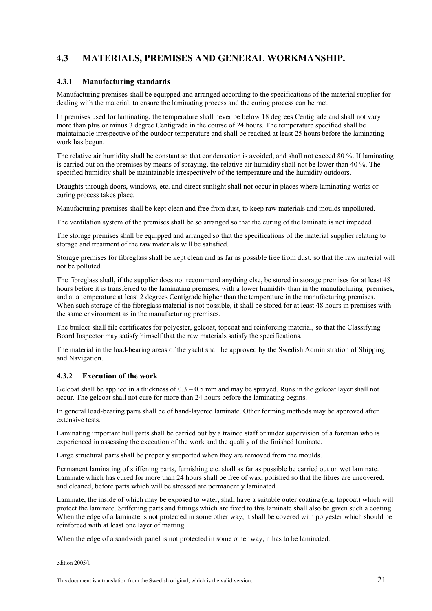## **4.3 MATERIALS, PREMISES AND GENERAL WORKMANSHIP.**

#### **4.3.1 Manufacturing standards**

Manufacturing premises shall be equipped and arranged according to the specifications of the material supplier for dealing with the material, to ensure the laminating process and the curing process can be met.

In premises used for laminating, the temperature shall never be below 18 degrees Centigrade and shall not vary more than plus or minus 3 degree Centigrade in the course of 24 hours. The temperature specified shall be maintainable irrespective of the outdoor temperature and shall be reached at least 25 hours before the laminating work has begun.

The relative air humidity shall be constant so that condensation is avoided, and shall not exceed 80 %. If laminating is carried out on the premises by means of spraying, the relative air humidity shall not be lower than 40 %. The specified humidity shall be maintainable irrespectively of the temperature and the humidity outdoors.

Draughts through doors, windows, etc. and direct sunlight shall not occur in places where laminating works or curing process takes place.

Manufacturing premises shall be kept clean and free from dust, to keep raw materials and moulds unpolluted.

The ventilation system of the premises shall be so arranged so that the curing of the laminate is not impeded.

The storage premises shall be equipped and arranged so that the specifications of the material supplier relating to storage and treatment of the raw materials will be satisfied.

Storage premises for fibreglass shall be kept clean and as far as possible free from dust, so that the raw material will not be polluted.

The fibreglass shall, if the supplier does not recommend anything else, be stored in storage premises for at least 48 hours before it is transferred to the laminating premises, with a lower humidity than in the manufacturing premises, and at a temperature at least 2 degrees Centigrade higher than the temperature in the manufacturing premises. When such storage of the fibreglass material is not possible, it shall be stored for at least 48 hours in premises with the same environment as in the manufacturing premises.

The builder shall file certificates for polyester, gelcoat, topcoat and reinforcing material, so that the Classifying Board Inspector may satisfy himself that the raw materials satisfy the specifications.

The material in the load-bearing areas of the yacht shall be approved by the Swedish Administration of Shipping and Navigation.

#### **4.3.2 Execution of the work**

Gelcoat shall be applied in a thickness of  $0.3 - 0.5$  mm and may be sprayed. Runs in the gelcoat layer shall not occur. The gelcoat shall not cure for more than 24 hours before the laminating begins.

In general load-bearing parts shall be of hand-layered laminate. Other forming methods may be approved after extensive tests.

Laminating important hull parts shall be carried out by a trained staff or under supervision of a foreman who is experienced in assessing the execution of the work and the quality of the finished laminate.

Large structural parts shall be properly supported when they are removed from the moulds.

Permanent laminating of stiffening parts, furnishing etc. shall as far as possible be carried out on wet laminate. Laminate which has cured for more than 24 hours shall be free of wax, polished so that the fibres are uncovered, and cleaned, before parts which will be stressed are permanently laminated.

Laminate, the inside of which may be exposed to water, shall have a suitable outer coating (e.g. topcoat) which will protect the laminate. Stiffening parts and fittings which are fixed to this laminate shall also be given such a coating. When the edge of a laminate is not protected in some other way, it shall be covered with polyester which should be reinforced with at least one layer of matting.

When the edge of a sandwich panel is not protected in some other way, it has to be laminated.

edition 2005/1

This document is a translation from the Swedish original, which is the valid version.  $21$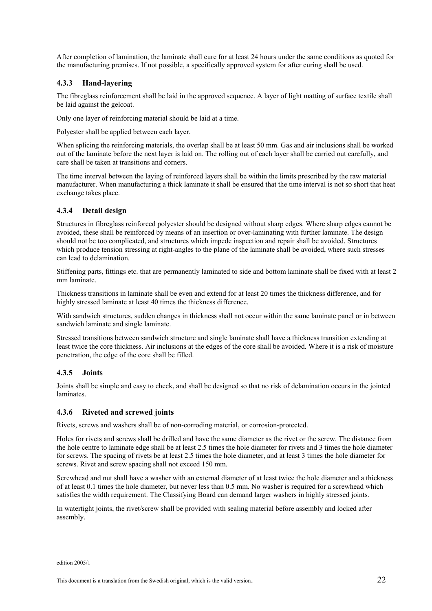After completion of lamination, the laminate shall cure for at least 24 hours under the same conditions as quoted for the manufacturing premises. If not possible, a specifically approved system for after curing shall be used.

#### **4.3.3 Hand-layering**

The fibreglass reinforcement shall be laid in the approved sequence. A layer of light matting of surface textile shall be laid against the gelcoat.

Only one layer of reinforcing material should be laid at a time.

Polyester shall be applied between each layer.

When splicing the reinforcing materials, the overlap shall be at least 50 mm. Gas and air inclusions shall be worked out of the laminate before the next layer is laid on. The rolling out of each layer shall be carried out carefully, and care shall be taken at transitions and corners.

The time interval between the laying of reinforced layers shall be within the limits prescribed by the raw material manufacturer. When manufacturing a thick laminate it shall be ensured that the time interval is not so short that heat exchange takes place.

#### **4.3.4 Detail design**

Structures in fibreglass reinforced polyester should be designed without sharp edges. Where sharp edges cannot be avoided, these shall be reinforced by means of an insertion or over-laminating with further laminate. The design should not be too complicated, and structures which impede inspection and repair shall be avoided. Structures which produce tension stressing at right-angles to the plane of the laminate shall be avoided, where such stresses can lead to delamination.

Stiffening parts, fittings etc. that are permanently laminated to side and bottom laminate shall be fixed with at least 2 mm laminate.

Thickness transitions in laminate shall be even and extend for at least 20 times the thickness difference, and for highly stressed laminate at least 40 times the thickness difference.

With sandwich structures, sudden changes in thickness shall not occur within the same laminate panel or in between sandwich laminate and single laminate.

Stressed transitions between sandwich structure and single laminate shall have a thickness transition extending at least twice the core thickness. Air inclusions at the edges of the core shall be avoided. Where it is a risk of moisture penetration, the edge of the core shall be filled.

#### **4.3.5 Joints**

Joints shall be simple and easy to check, and shall be designed so that no risk of delamination occurs in the jointed laminates.

#### **4.3.6 Riveted and screwed joints**

Rivets, screws and washers shall be of non-corroding material, or corrosion-protected.

Holes for rivets and screws shall be drilled and have the same diameter as the rivet or the screw. The distance from the hole centre to laminate edge shall be at least 2.5 times the hole diameter for rivets and 3 times the hole diameter for screws. The spacing of rivets be at least 2.5 times the hole diameter, and at least 3 times the hole diameter for screws. Rivet and screw spacing shall not exceed 150 mm.

Screwhead and nut shall have a washer with an external diameter of at least twice the hole diameter and a thickness of at least 0.1 times the hole diameter, but never less than 0.5 mm. No washer is required for a screwhead which satisfies the width requirement. The Classifying Board can demand larger washers in highly stressed joints.

In watertight joints, the rivet/screw shall be provided with sealing material before assembly and locked after assembly.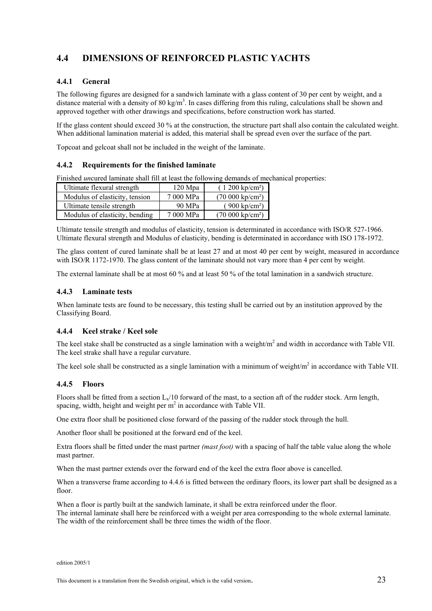## **4.4 DIMENSIONS OF REINFORCED PLASTIC YACHTS**

#### **4.4.1 General**

The following figures are designed for a sandwich laminate with a glass content of 30 per cent by weight, and a distance material with a density of 80 kg/m<sup>3</sup>. In cases differing from this ruling, calculations shall be shown and approved together with other drawings and specifications, before construction work has started.

If the glass content should exceed 30 % at the construction, the structure part shall also contain the calculated weight. When additional lamination material is added, this material shall be spread even over the surface of the part.

Topcoat and gelcoat shall not be included in the weight of the laminate.

#### **4.4.2 Requirements for the finished laminate**

Finished *un*cured laminate shall fill at least the following demands of mechanical properties:

| Ultimate flexural strength     | $120$ Mpa | $(1200 \text{ kp/cm}^2)$               |
|--------------------------------|-----------|----------------------------------------|
| Modulus of elasticity, tension | 7 000 MPa | $(70\ 000\ \mathrm{k}\mathrm{p/cm^2})$ |
| Ultimate tensile strength      | 90 MPa    | $(900 \text{ kp/cm}^2)$                |
| Modulus of elasticity, bending | 7 000 MPa | $(70\ 000\ \text{kp/cm}^2)$            |

Ultimate tensile strength and modulus of elasticity, tension is determinated in accordance with ISO/R 527-1966. Ultimate flexural strength and Modulus of elasticity, bending is determinated in accordance with ISO 178-1972.

The glass content of cured laminate shall be at least 27 and at most 40 per cent by weight, measured in accordance with ISO/R 1172-1970. The glass content of the laminate should not vary more than 4 per cent by weight.

The external laminate shall be at most 60 % and at least 50 % of the total lamination in a sandwich structure.

#### **4.4.3 Laminate tests**

When laminate tests are found to be necessary, this testing shall be carried out by an institution approved by the Classifying Board.

#### **4.4.4 Keel strake / Keel sole**

The keel stake shall be constructed as a single lamination with a weight/ $m<sup>2</sup>$  and width in accordance with Table VII. The keel strake shall have a regular curvature.

The keel sole shall be constructed as a single lamination with a minimum of weight/ $m<sup>2</sup>$  in accordance with Table VII.

#### **4.4.5 Floors**

Floors shall be fitted from a section  $L_1/10$  forward of the mast, to a section aft of the rudder stock. Arm length, spacing, width, height and weight per  $m^2$  in accordance with Table VII.

One extra floor shall be positioned close forward of the passing of the rudder stock through the hull.

Another floor shall be positioned at the forward end of the keel.

Extra floors shall be fitted under the mast partner *(mast foot)* with a spacing of half the table value along the whole mast partner.

When the mast partner extends over the forward end of the keel the extra floor above is cancelled.

When a transverse frame according to 4.4.6 is fitted between the ordinary floors, its lower part shall be designed as a floor.

When a floor is partly built at the sandwich laminate, it shall be extra reinforced under the floor. The internal laminate shall here be reinforced with a weight per area corresponding to the whole external laminate. The width of the reinforcement shall be three times the width of the floor.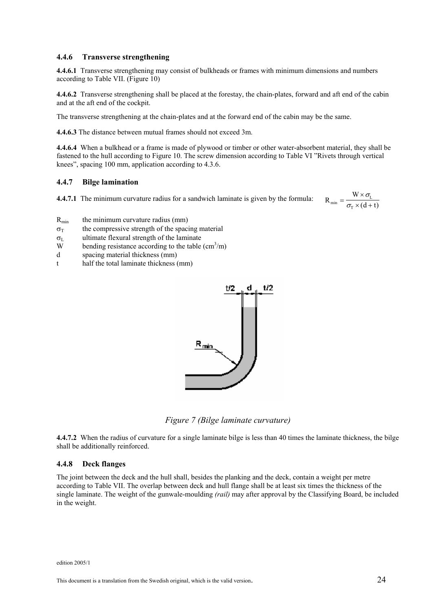#### **4.4.6 Transverse strengthening**

**4.4.6.1** Transverse strengthening may consist of bulkheads or frames with minimum dimensions and numbers according to Table VII. (Figure 10)

**4.4.6.2** Transverse strengthening shall be placed at the forestay, the chain-plates, forward and aft end of the cabin and at the aft end of the cockpit.

The transverse strengthening at the chain-plates and at the forward end of the cabin may be the same.

**4.4.6.3** The distance between mutual frames should not exceed 3m.

**4.4.6.4** When a bulkhead or a frame is made of plywood or timber or other water-absorbent material, they shall be fastened to the hull according to Figure 10. The screw dimension according to Table VI "Rivets through vertical knees", spacing 100 mm, application according to 4.3.6.

#### **4.4.7 Bilge lamination**

**4.4.7.1** The minimum curvature radius for a sandwich laminate is given by the formula:

$$
R_{\min} = \frac{W \times \sigma_{L}}{\sigma_{T} \times (d+t)}
$$

- $R_{min}$  the minimum curvature radius (mm)
- $\sigma_{\text{T}}$  the compressive strength of the spacing material
- $\sigma_{\text{L}}$  ultimate flexural strength of the laminate
- W bending resistance according to the table  $\text{(cm}^3\text{/m)}$
- d spacing material thickness (mm)
- t half the total laminate thickness (mm)



*Figure 7 (Bilge laminate curvature)*

**4.4.7.2** When the radius of curvature for a single laminate bilge is less than 40 times the laminate thickness, the bilge shall be additionally reinforced.

#### **4.4.8 Deck flanges**

The joint between the deck and the hull shall, besides the planking and the deck, contain a weight per metre according to Table VII. The overlap between deck and hull flange shall be at least six times the thickness of the single laminate. The weight of the gunwale-moulding *(rail)* may after approval by the Classifying Board, be included in the weight.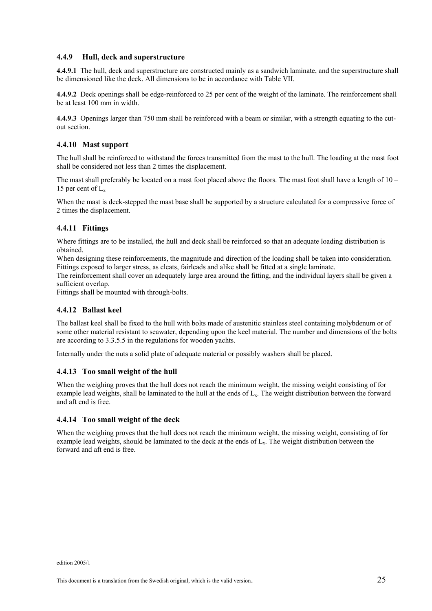#### **4.4.9 Hull, deck and superstructure**

**4.4.9.1** The hull, deck and superstructure are constructed mainly as a sandwich laminate, and the superstructure shall be dimensioned like the deck. All dimensions to be in accordance with Table VII.

**4.4.9.2** Deck openings shall be edge-reinforced to 25 per cent of the weight of the laminate. The reinforcement shall be at least 100 mm in width.

**4.4.9.3** Openings larger than 750 mm shall be reinforced with a beam or similar, with a strength equating to the cutout section.

#### **4.4.10 Mast support**

The hull shall be reinforced to withstand the forces transmitted from the mast to the hull. The loading at the mast foot shall be considered not less than 2 times the displacement.

The mast shall preferably be located on a mast foot placed above the floors. The mast foot shall have a length of 10 – 15 per cent of  $L_x$ 

When the mast is deck-stepped the mast base shall be supported by a structure calculated for a compressive force of 2 times the displacement.

#### **4.4.11 Fittings**

Where fittings are to be installed, the hull and deck shall be reinforced so that an adequate loading distribution is obtained.

When designing these reinforcements, the magnitude and direction of the loading shall be taken into consideration. Fittings exposed to larger stress, as cleats, fairleads and alike shall be fitted at a single laminate.

The reinforcement shall cover an adequately large area around the fitting, and the individual layers shall be given a sufficient overlap.

Fittings shall be mounted with through-bolts.

#### **4.4.12 Ballast keel**

The ballast keel shall be fixed to the hull with bolts made of austenitic stainless steel containing molybdenum or of some other material resistant to seawater, depending upon the keel material. The number and dimensions of the bolts are according to 3.3.5.5 in the regulations for wooden yachts.

Internally under the nuts a solid plate of adequate material or possibly washers shall be placed.

#### **4.4.13 Too small weight of the hull**

When the weighing proves that the hull does not reach the minimum weight, the missing weight consisting of for example lead weights, shall be laminated to the hull at the ends of  $L<sub>x</sub>$ . The weight distribution between the forward and aft end is free.

#### **4.4.14 Too small weight of the deck**

When the weighing proves that the hull does not reach the minimum weight, the missing weight, consisting of for example lead weights, should be laminated to the deck at the ends of L<sub>x</sub>. The weight distribution between the forward and aft end is free.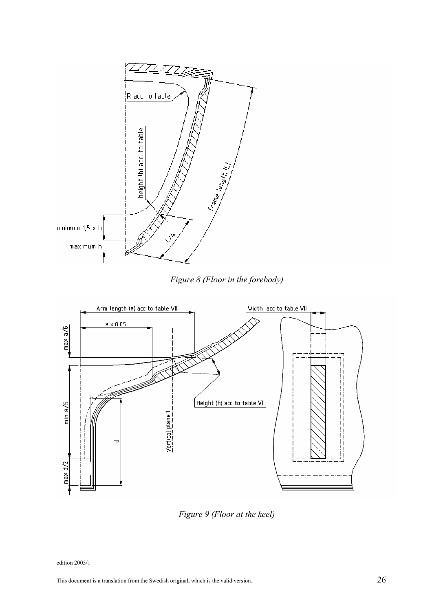

*Figure 8 (Floor in the forebody)*



*Figure 9 (Floor at the keel)*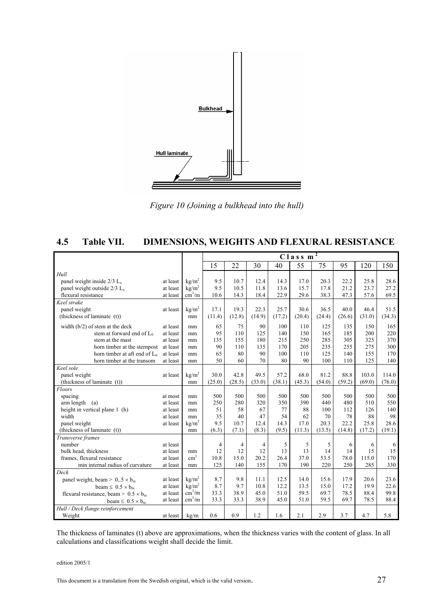

*Figure 10 (Joining a bulkhead into the hull)* 

## **4.5 Table VII. DIMENSIONS, WEIGHTS AND FLEXURAL RESISTANCE**

|                                              |          |                        | 2<br>Class m   |        |        |        |        |        |        |        |        |  |  |  |
|----------------------------------------------|----------|------------------------|----------------|--------|--------|--------|--------|--------|--------|--------|--------|--|--|--|
|                                              |          |                        | 15             | 22     | 30     | 40     | 55     | 75     | 95     | 120    | 150    |  |  |  |
| Hull                                         |          |                        |                |        |        |        |        |        |        |        |        |  |  |  |
| panel weight inside $2/3$ L <sub>x</sub>     | at least | kg/m <sup>2</sup>      | 9.5            | 10.7   | 12.4   | 14.3   | 17.0   | 20.3   | 22.2   | 25.8   | 28.6   |  |  |  |
| panel weight outside $2/3$ L <sub>x</sub>    | at least | kg/m <sup>2</sup>      | 9.5            | 10.5   | 11.8   | 13.6   | 15.7   | 17.8   | 21.2   | 23.7   | 27.2   |  |  |  |
| flexural resistance                          | at least | $\text{cm}^3/\text{m}$ | 10.6           | 14.3   | 18.4   | 22.9   | 29.6   | 38.3   | 47.3   | 57.6   | 69.5   |  |  |  |
| Keel strake                                  |          |                        |                |        |        |        |        |        |        |        |        |  |  |  |
| panel weight                                 | at least | kg/m <sup>2</sup>      | 17.1           | 19.3   | 22.3   | 25.7   | 30.6   | 36.5   | 40.0   | 46.4   | 51.5   |  |  |  |
| (thickness of laminate $(t)$ )               |          | mm                     | (11.4)         | (12.8) | (14.9) | (17.2) | (20.4) | (24.4) | (26.6) | (31.0) | (34.3) |  |  |  |
| width (b/2) of stem at the deck              | at least | mm                     | 65             | 75     | 90     | 100    | 110    | 125    | 135    | 150    | 165    |  |  |  |
| stem at forward end of $L_0$                 | at least | mm                     | 95             | 110    | 125    | 140    | 150    | 165    | 185    | 200    | 220    |  |  |  |
| stem at the mast                             | at least | mm                     | 135            | 155    | 180    | 215    | 250    | 285    | 305    | 325    | 370    |  |  |  |
| horn timber at the sternpost                 | at least | mm                     | 90             | 110    | 135    | 170    | 205    | 235    | 255    | 275    | 300    |  |  |  |
| horn timber at aft end of $L_0$              | at least | mm                     | 65             | 80     | 90     | 100    | 110    | 125    | 140    | 155    | 170    |  |  |  |
| horn timber at the transom                   | at least | mm                     | 50             | 60     | 70     | 80     | 90     | 100    | 110    | 125    | 140    |  |  |  |
| Keel sole                                    |          |                        |                |        |        |        |        |        |        |        |        |  |  |  |
| panel weight                                 | at least | kg/m <sup>2</sup>      | 30.0           | 42.8   | 49.5   | 57.2   | 68.0   | 81.2   | 88.8   | 103.0  | 114.0  |  |  |  |
| (thickness of laminate (t))                  |          | mm                     | (25.0)         | (28.5) | (33.0) | (38.1) | (45.3) | (54.0) | (59.2) | (69.0) | (76.0) |  |  |  |
| Floors                                       |          |                        |                |        |        |        |        |        |        |        |        |  |  |  |
| spacing                                      | at most  | mm                     | 500            | 500    | 500    | 500    | 500    | 500    | 500    | 500    | 500    |  |  |  |
| $arm length$ (a)                             | at least | mm                     | 250            | 280    | 320    | 350    | 390    | 440    | 480    | 510    | 550    |  |  |  |
| height in vertical plane 1 (h)               | at least | mm                     | 51             | 58     | 67     | 77     | 88     | 100    | 112    | 126    | 140    |  |  |  |
| width                                        | at least | mm                     | 35             | 40     | 47     | 54     | 62     | 70     | 78     | 88     | 98     |  |  |  |
| panel weight                                 | at least | kg/m <sup>2</sup>      | 9.5            | 10.7   | 12.4   | 14.3   | 17.0   | 20.3   | 22.2   | 25.8   | 28.6   |  |  |  |
| (thickness of laminate $(t)$ )               |          | mm                     | (6.3)          | (7.1)  | (8.3)  | (9.5)  | (11.3) | (13.5) | (14.8) | (17.2) | (19.1) |  |  |  |
| Transverse frames                            |          |                        |                |        |        |        |        |        |        |        |        |  |  |  |
| number                                       | at least |                        | $\overline{4}$ | 4      | 4      | 5      | 5      | 5      | 6      | 6      | 6      |  |  |  |
| bulk head, thickness                         | at least | mm                     | 12             | 12     | 12     | 13     | 13     | 14     | 14     | 15     | 15     |  |  |  |
| frames, flexural resistance                  | at least | $\text{cm}^3$          | 10.8           | 15.0   | 20.2   | 26.4   | 37.0   | 53.5   | 78.0   | 115.0  | 170    |  |  |  |
| min internal radius of curvature             | at least | mm                     | 125            | 140    | 155    | 170    | 190    | 220    | 250    | 285    | 330    |  |  |  |
| Deck                                         |          |                        |                |        |        |        |        |        |        |        |        |  |  |  |
| panel weight, beam > $0.5 \times b_m$        | at least | kg/m <sup>2</sup>      | 8.7            | 9.8    | 11.1   | 12.5   | 14.0   | 15.6   | 17.9   | 20.6   | 23.6   |  |  |  |
| beam $\leq 0.5 \times b_m$                   | at least | kg/m <sup>2</sup>      | 8.7            | 9.7    | 10.8   | 12.2   | 13.5   | 15.0   | 17.2   | 19.9   | 22.6   |  |  |  |
| flexural resistance, beam > $0.5 \times b_m$ | at least | $\text{cm}^3/\text{m}$ | 33.3           | 38.9   | 45.0   | 51.0   | 59.5   | 69.7   | 78.5   | 88.4   | 99.8   |  |  |  |
| beam $\leq 0.5 \times b_m$                   | at least | $\text{cm}^3/\text{m}$ | 33.3           | 33.3   | 38.9   | 45.0   | 51.0   | 59.5   | 69.7   | 78.5   | 88.4   |  |  |  |
| Hull / Deck flange reinforcement             |          |                        |                |        |        |        |        |        |        |        |        |  |  |  |
| Weight                                       | at least | kg/m                   | 0.6            | 0.9    | 1.2    | 1.6    | 2.1    | 2.9    | 3.7    | 4.7    | 5.8    |  |  |  |

The thickness of laminates (t) above are approximations, when the thickness varies with the content of glass. In all calculations and classifications weight shall decide the limit.

edition 2005/1

This document is a translation from the Swedish original, which is the valid version. 27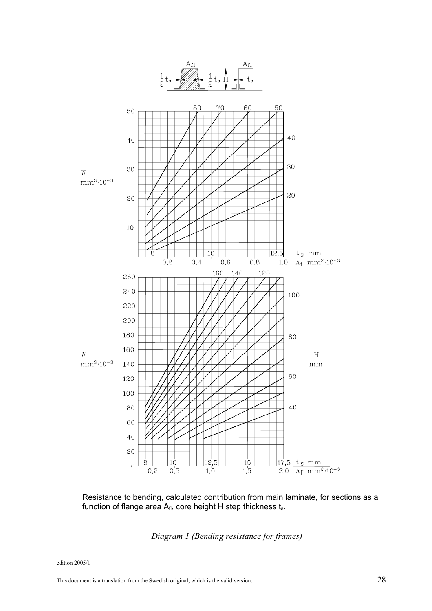

Resistance to bending, calculated contribution from main laminate, for sections as a function of flange area  $A_{fl}$ , core height H step thickness  $t_s$ .

*Diagram 1 (Bending resistance for frames)*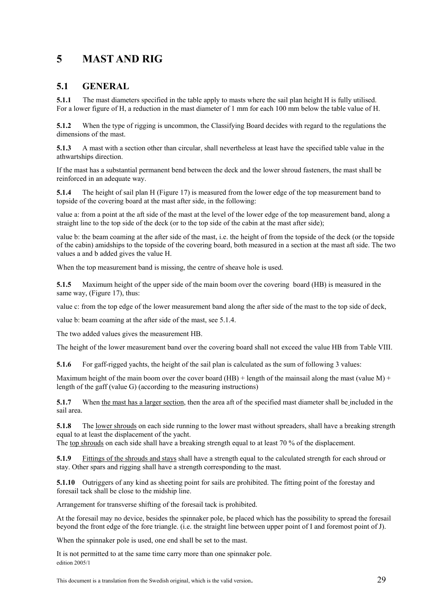## **5 MAST AND RIG**

## **5.1 GENERAL**

**5.1.1** The mast diameters specified in the table apply to masts where the sail plan height H is fully utilised. For a lower figure of H, a reduction in the mast diameter of 1 mm for each 100 mm below the table value of H.

**5.1.2** When the type of rigging is uncommon, the Classifying Board decides with regard to the regulations the dimensions of the mast.

**5.1.3** A mast with a section other than circular, shall nevertheless at least have the specified table value in the athwartships direction.

If the mast has a substantial permanent bend between the deck and the lower shroud fasteners, the mast shall be reinforced in an adequate way.

**5.1.4** The height of sail plan H (Figure 17) is measured from the lower edge of the top measurement band to topside of the covering board at the mast after side, in the following:

value a: from a point at the aft side of the mast at the level of the lower edge of the top measurement band, along a straight line to the top side of the deck (or to the top side of the cabin at the mast after side);

value b: the beam coaming at the after side of the mast, i.e. the height of from the topside of the deck (or the topside of the cabin) amidships to the topside of the covering board, both measured in a section at the mast aft side. The two values a and b added gives the value H.

When the top measurement band is missing, the centre of sheave hole is used.

**5.1.5** Maximum height of the upper side of the main boom over the covering board (HB) is measured in the same way, (Figure 17), thus:

value c: from the top edge of the lower measurement band along the after side of the mast to the top side of deck,

value b: beam coaming at the after side of the mast, see 5.1.4.

The two added values gives the measurement HB.

The height of the lower measurement band over the covering board shall not exceed the value HB from Table VIII.

**5.1.6** For gaff-rigged yachts, the height of the sail plan is calculated as the sum of following 3 values:

Maximum height of the main boom over the cover board (HB) + length of the mainsail along the mast (value M) + length of the gaff (value G) (according to the measuring instructions)

**5.1.7** When the mast has a larger section, then the area aft of the specified mast diameter shall be included in the sail area.

**5.1.8** The lower shrouds on each side running to the lower mast without spreaders, shall have a breaking strength equal to at least the displacement of the yacht.

The top shrouds on each side shall have a breaking strength equal to at least 70 % of the displacement.

**5.1.9** Fittings of the shrouds and stays shall have a strength equal to the calculated strength for each shroud or stay. Other spars and rigging shall have a strength corresponding to the mast.

**5.1.10** Outriggers of any kind as sheeting point for sails are prohibited. The fitting point of the forestay and foresail tack shall be close to the midship line.

Arrangement for transverse shifting of the foresail tack is prohibited.

At the foresail may no device, besides the spinnaker pole, be placed which has the possibility to spread the foresail beyond the front edge of the fore triangle. (i.e. the straight line between upper point of I and foremost point of J).

When the spinnaker pole is used, one end shall be set to the mast.

edition 2005/1 It is not permitted to at the same time carry more than one spinnaker pole.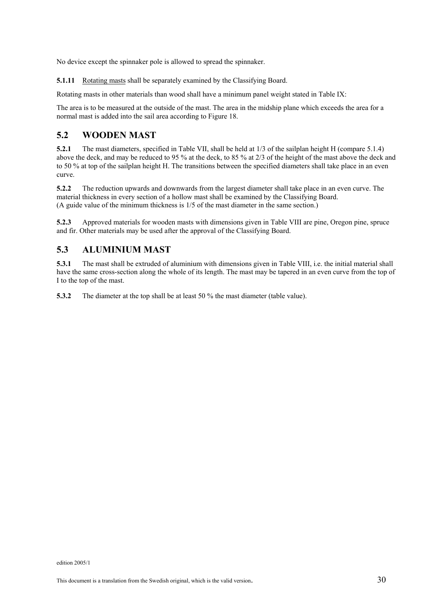No device except the spinnaker pole is allowed to spread the spinnaker.

**5.1.11** Rotating masts shall be separately examined by the Classifying Board.

Rotating masts in other materials than wood shall have a minimum panel weight stated in Table IX:

The area is to be measured at the outside of the mast. The area in the midship plane which exceeds the area for a normal mast is added into the sail area according to Figure 18.

## **5.2 WOODEN MAST**

**5.2.1** The mast diameters, specified in Table VII, shall be held at 1/3 of the sailplan height H (compare 5.1.4) above the deck, and may be reduced to 95 % at the deck, to 85 % at 2/3 of the height of the mast above the deck and to 50 % at top of the sailplan height H. The transitions between the specified diameters shall take place in an even curve.

**5.2.2** The reduction upwards and downwards from the largest diameter shall take place in an even curve. The material thickness in every section of a hollow mast shall be examined by the Classifying Board. (A guide value of the minimum thickness is 1/5 of the mast diameter in the same section.)

**5.2.3** Approved materials for wooden masts with dimensions given in Table VIII are pine, Oregon pine, spruce and fir. Other materials may be used after the approval of the Classifying Board.

## **5.3 ALUMINIUM MAST**

**5.3.1** The mast shall be extruded of aluminium with dimensions given in Table VIII, i.e. the initial material shall have the same cross-section along the whole of its length. The mast may be tapered in an even curve from the top of I to the top of the mast.

**5.3.2** The diameter at the top shall be at least 50 % the mast diameter (table value).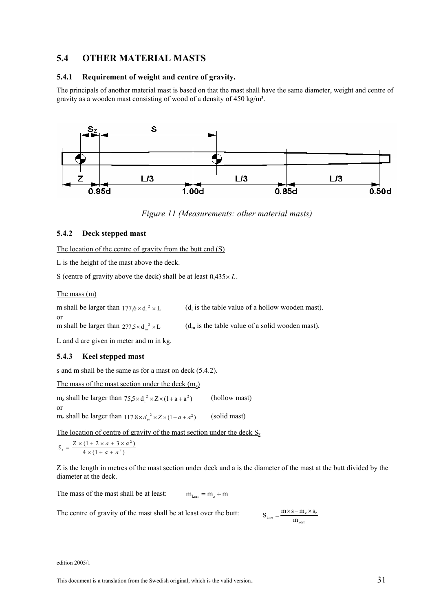## **5.4 OTHER MATERIAL MASTS**

#### **5.4.1 Requirement of weight and centre of gravity.**

The principals of another material mast is based on that the mast shall have the same diameter, weight and centre of gravity as a wooden mast consisting of wood of a density of 450 kg/m<sup>3</sup>.



*Figure 11 (Measurements: other material masts)*

#### **5.4.2 Deck stepped mast**

The location of the centre of gravity from the butt end (S)

L is the height of the mast above the deck.

S (centre of gravity above the deck) shall be at least  $0.435 \times L$ .

The mass (m)

or

or

m shall be larger than  $177.6 \times d_i^2 \times L$  (d<sub>i</sub> is the table value of a hollow wooden mast).

m shall be larger than  $277.5 \times d_m^2 \times L$  (d<sub>m</sub> is the table value of a solid wooden mast).

L and d are given in meter and m in kg.

#### **5.4.3 Keel stepped mast**

s and m shall be the same as for a mast on deck (5.4.2).

The mass of the mast section under the deck  $(m_z)$ 

 $m_z$  shall be larger than  $75.5 \times d_i^2 \times Z \times (1 + a + a^2)$  (hollow mast)

 $m_z$  shall be larger than  $117.8 \times d_x^2 \times Z \times (1 + a + a^2)$  (solid mast)

The location of centre of gravity of the mast section under the deck  $S_z$ 

$$
S_z = \frac{Z \times (1 + 2 \times a + 3 \times a^2)}{4 \times (1 + a + a^2)}
$$

Z is the length in metres of the mast section under deck and a is the diameter of the mast at the butt divided by the diameter at the deck.

The mass of the mast shall be at least:  $m_{\text{korr}} = m_{\text{z}} + m$ 

The centre of gravity of the mast shall be at least over the butt:

$$
S_{\rm korr} = \frac{m \times s - m_{_Z} \times s_{_Z}}{m_{\rm korr}}
$$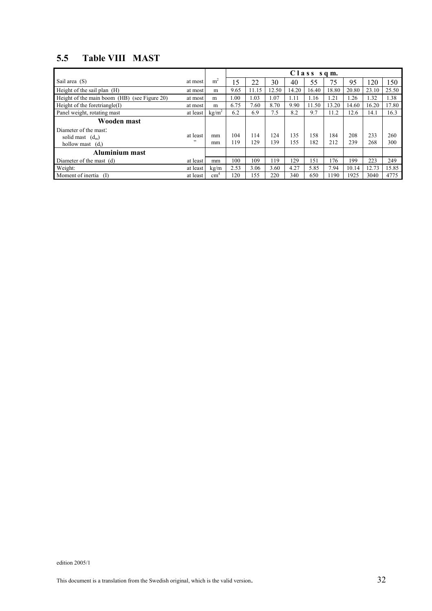## **5.5 Table VIII MAST**

|                                              |                 |                   | $C$ l a s s s q m. |       |       |       |       |       |       |                  |       |
|----------------------------------------------|-----------------|-------------------|--------------------|-------|-------|-------|-------|-------|-------|------------------|-------|
| Sail area (S)                                | at most         | m <sup>2</sup>    | 15                 | 22    | 30    | 40    | 55    | 75    | 95    | l 20             | 150   |
| Height of the sail plan $(H)$                | at most         | m                 | 9.65               | 11.15 | 12.50 | 14.20 | 16.40 | 18.80 | 20.80 | 23.10            | 25.50 |
| Height of the main boom (HB) (see Figure 20) | at most         | m                 | 1.00               | 1.03  | .07   | 1.11  | 1.16  | 1.21  | 1.26  | $\overline{.}32$ | 1.38  |
| Height of the foretriangle(I)                | at most         | m                 | 6.75               | 7.60  | 8.70  | 9.90  | 11.50 | 13.20 | 14.60 | 16.20            | 17.80 |
| Panel weight, rotating mast                  | at least        | kg/m <sup>2</sup> | 6.2                | 6.9   | 7.5   | 8.2   | 9.7   | 11.2  | 12.6  | 14.1             | 16.3  |
| Wooden mast                                  |                 |                   |                    |       |       |       |       |       |       |                  |       |
| Diameter of the mast:                        |                 |                   |                    |       |       |       |       |       |       |                  |       |
| solid mast $(d_m)$                           | at least<br>, , | mm                | 104                | 14    | 124   | 135   | 158   | 184   | 208   | 233              | 260   |
| hollow mast<br>$(d_i)$                       |                 | mm                | 119                | 29    | 139   | 155   | 182   | 212   | 239   | 268              | 300   |
| <b>Aluminium mast</b>                        |                 |                   |                    |       |       |       |       |       |       |                  |       |
| Diameter of the mast (d)                     | at least        | mm                | 100                | 109   | 119   | 129   | 151   | 176   | 199   | 223              | 249   |
| Weight:                                      | at least        | kg/m              | 2.53               | 3.06  | 3.60  | 4.27  | 5.85  | 7.94  | 10.14 | 12.73            | 15.85 |
| Moment of inertia (I)                        | at least        | cm <sup>4</sup>   | 120                | 155   | 220   | 340   | 650   | 1190  | 1925  | 3040             | 4775  |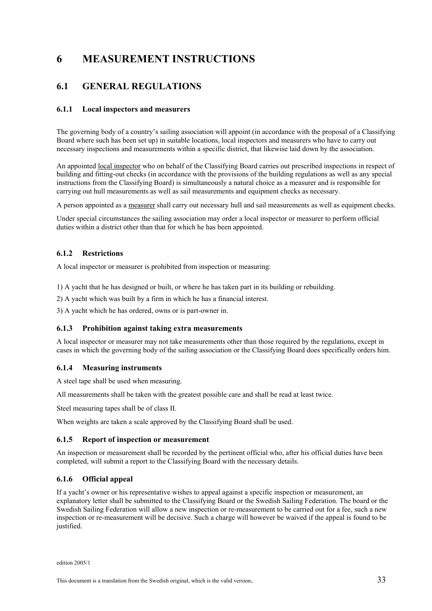## **6 MEASUREMENT INSTRUCTIONS**

## **6.1 GENERAL REGULATIONS**

#### **6.1.1 Local inspectors and measurers**

The governing body of a country's sailing association will appoint (in accordance with the proposal of a Classifying Board where such has been set up) in suitable locations, local inspectors and measurers who have to carry out necessary inspections and measurements within a specific district, that likewise laid down by the association.

An appointed local inspector who on behalf of the Classifying Board carries out prescribed inspections in respect of building and fitting-out checks (in accordance with the provisions of the building regulations as well as any special instructions from the Classifying Board) is simultaneously a natural choice as a measurer and is responsible for carrying out hull measurements as well as sail measurements and equipment checks as necessary.

A person appointed as a measurer shall carry out necessary hull and sail measurements as well as equipment checks.

Under special circumstances the sailing association may order a local inspector or measurer to perform official duties within a district other than that for which he has been appointed.

#### **6.1.2 Restrictions**

A local inspector or measurer is prohibited from inspection or measuring:

1) A yacht that he has designed or built, or where he has taken part in its building or rebuilding.

2) A yacht which was built by a firm in which he has a financial interest.

3) A yacht which he has ordered, owns or is part-owner in.

#### **6.1.3 Prohibition against taking extra measurements**

A local inspector or measurer may not take measurements other than those required by the regulations, except in cases in which the governing body of the sailing association or the Classifying Board does specifically orders him.

#### **6.1.4 Measuring instruments**

A steel tape shall be used when measuring.

All measurements shall be taken with the greatest possible care and shall be read at least twice.

Steel measuring tapes shall be of class II.

When weights are taken a scale approved by the Classifying Board shall be used.

#### **6.1.5 Report of inspection or measurement**

An inspection or measurement shall be recorded by the pertinent official who, after his official duties have been completed, will submit a report to the Classifying Board with the necessary details.

#### **6.1.6 Official appeal**

If a yacht's owner or his representative wishes to appeal against a specific inspection or measurement, an explanatory letter shall be submitted to the Classifying Board or the Swedish Sailing Federation. The board or the Swedish Sailing Federation will allow a new inspection or re-measurement to be carried out for a fee, such a new inspection or re-measurement will be decisive. Such a charge will however be waived if the appeal is found to be justified.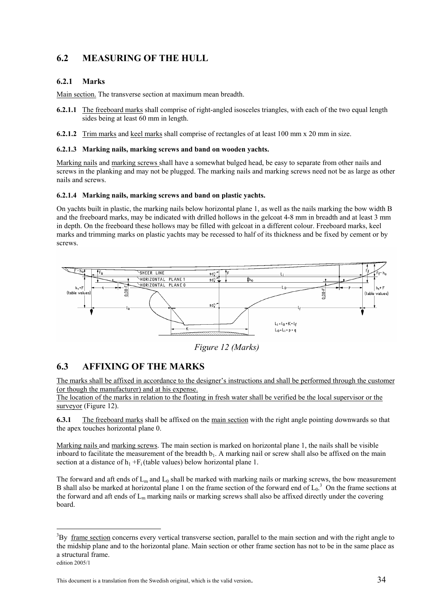## **6.2 MEASURING OF THE HULL**

#### **6.2.1 Marks**

Main section. The transverse section at maximum mean breadth.

- **6.2.1.1** The freeboard marks shall comprise of right-angled isosceles triangles, with each of the two equal length sides being at least 60 mm in length.
- **6.2.1.2** Trim marks and keel marks shall comprise of rectangles of at least 100 mm x 20 mm in size.

#### **6.2.1.3 Marking nails, marking screws and band on wooden yachts.**

Marking nails and marking screws shall have a somewhat bulged head, be easy to separate from other nails and screws in the planking and may not be plugged. The marking nails and marking screws need not be as large as other nails and screws.

#### **6.2.1.4 Marking nails, marking screws and band on plastic yachts.**

On yachts built in plastic, the marking nails below horizontal plane 1, as well as the nails marking the bow width B and the freeboard marks, may be indicated with drilled hollows in the gelcoat 4-8 mm in breadth and at least 3 mm in depth. On the freeboard these hollows may be filled with gelcoat in a different colour. Freeboard marks, keel marks and trimming marks on plastic yachts may be recessed to half of its thickness and be fixed by cement or by screws.





## **6.3 AFFIXING OF THE MARKS**

The marks shall be affixed in accordance to the designer's instructions and shall be performed through the customer (or though the manufacturer) and at his expense.

The location of the marks in relation to the floating in fresh water shall be verified be the local supervisor or the surveyor (Figure 12).

**6.3.1** The freeboard marks shall be affixed on the main section with the right angle pointing downwards so that the apex touches horizontal plane 0.

Marking nails and marking screws. The main section is marked on horizontal plane 1, the nails shall be visible inboard to facilitate the measurement of the breadth  $b_1$ . A marking nail or screw shall also be affixed on the main section at a distance of  $h_1 + F_i$  (table values) below horizontal plane 1.

The forward and aft ends of  $L_m$  and  $L_0$  shall be marked with marking nails or marking screws, the bow measurement B shall also be marked at horizontal plane 1 on the frame section of the forward end of  $L_0$ .<sup>3</sup> On the frame sections at the forward and aft ends of  $L<sub>m</sub>$  marking nails or marking screws shall also be affixed directly under the covering board.

 $\overline{a}$ 

 $3_{\text{By}}$  frame section concerns every vertical transverse section, parallel to the main section and with the right angle to the midship plane and to the horizontal plane. Main section or other frame section has not to be in the same place as a structural frame.

edition 2005/1

This document is a translation from the Swedish original, which is the valid version. 34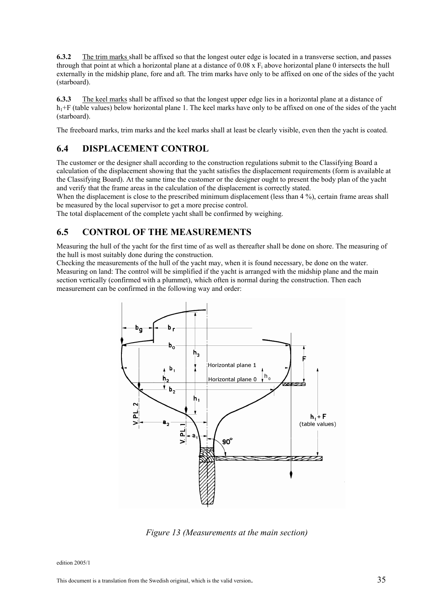**6.3.2** The trim marks shall be affixed so that the longest outer edge is located in a transverse section, and passes through that point at which a horizontal plane at a distance of  $0.08 \times F_i$  above horizontal plane 0 intersects the hull externally in the midship plane, fore and aft. The trim marks have only to be affixed on one of the sides of the yacht (starboard).

**6.3.3** The keel marks shall be affixed so that the longest upper edge lies in a horizontal plane at a distance of  $h_1$ +F (table values) below horizontal plane 1. The keel marks have only to be affixed on one of the sides of the yacht (starboard).

The freeboard marks, trim marks and the keel marks shall at least be clearly visible, even then the yacht is coated.

## **6.4 DISPLACEMENT CONTROL**

The customer or the designer shall according to the construction regulations submit to the Classifying Board a calculation of the displacement showing that the yacht satisfies the displacement requirements (form is available at the Classifying Board). At the same time the customer or the designer ought to present the body plan of the yacht and verify that the frame areas in the calculation of the displacement is correctly stated.

When the displacement is close to the prescribed minimum displacement (less than 4 %), certain frame areas shall be measured by the local supervisor to get a more precise control.

The total displacement of the complete yacht shall be confirmed by weighing.

## **6.5 CONTROL OF THE MEASUREMENTS**

Measuring the hull of the yacht for the first time of as well as thereafter shall be done on shore. The measuring of the hull is most suitably done during the construction.

Checking the measurements of the hull of the yacht may, when it is found necessary, be done on the water. Measuring on land: The control will be simplified if the yacht is arranged with the midship plane and the main section vertically (confirmed with a plummet), which often is normal during the construction. Then each measurement can be confirmed in the following way and order:



*Figure 13 (Measurements at the main section)*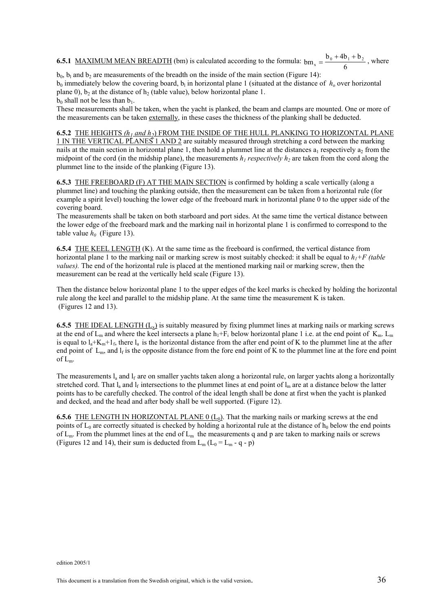**6.5.1** MAXIMUM MEAN BREADTH (bm) is calculated according to the formula:  $b_{m_x} = \frac{b_0 + 4b_1 + b_2}{6}$  $x = \frac{b_0 + 4b_1 + b_2}{6}$ , where

 $b_0$ ,  $b_1$  and  $b_2$  are measurements of the breadth on the inside of the main section (Figure 14):

 $b_0$  immediately below the covering board,  $b_1$  in horizontal plane 1 (situated at the distance of  $h_0$  over horizontal plane 0), b<sub>2</sub> at the distance of h<sub>2</sub> (table value), below horizontal plane 1.

 $b_0$  shall not be less than  $b_1$ .

These measurements shall be taken, when the yacht is planked, the beam and clamps are mounted. One or more of the measurements can be taken externally, in these cases the thickness of the planking shall be deducted.

#### **6.5.2** THE HEIGHTS (h<sub>1</sub> and h<sub>2</sub>) FROM THE INSIDE OF THE HULL PLANKING TO HORIZONTAL PLANE

1 IN THE VERTICAL PLANES 1 AND 2 are suitably measured through stretching a cord between the marking nails at the main section in horizontal plane 1, then hold a plummet line at the distances  $a_1$  respectively  $a_2$  from the midpoint of the cord (in the midship plane), the measurements  $h_1$  respectively  $h_2$  are taken from the cord along the plummet line to the inside of the planking (Figure 13).

**6.5.3** THE FREEBOARD (F) AT THE MAIN SECTION is confirmed by holding a scale vertically (along a plummet line) and touching the planking outside, then the measurement can be taken from a horizontal rule (for example a spirit level) touching the lower edge of the freeboard mark in horizontal plane 0 to the upper side of the covering board.

The measurements shall be taken on both starboard and port sides. At the same time the vertical distance between the lower edge of the freeboard mark and the marking nail in horizontal plane 1 is confirmed to correspond to the table value  $h_0$  (Figure 13).

**6.5.4** THE KEEL LENGTH (K). At the same time as the freeboard is confirmed, the vertical distance from horizontal plane 1 to the marking nail or marking screw is most suitably checked: it shall be equal to  $h_1 + F$  (table *values).* The end of the horizontal rule is placed at the mentioned marking nail or marking screw, then the measurement can be read at the vertically held scale (Figure 13).

Then the distance below horizontal plane 1 to the upper edges of the keel marks is checked by holding the horizontal rule along the keel and parallel to the midship plane. At the same time the measurement K is taken. (Figures 12 and 13).

**6.5.5** THE IDEAL LENGTH  $(L_x)$  is suitably measured by fixing plummet lines at marking nails or marking screws at the end of  $L_m$  and where the keel intersects a plane  $h_1 + F_i$  below horizontal plane 1 i.e. at the end point of  $K_m$ .  $L_m$ is equal to  $l_a+K_m+1_f$ , there  $l_a$  is the horizontal distance from the after end point of K to the plummet line at the after end point of  $L_m$ , and  $l_f$  is the opposite distance from the fore end point of K to the plummet line at the fore end point of  $L_m$ .

The measurements  $I_a$  and  $I_f$  are on smaller yachts taken along a horizontal rule, on larger yachts along a horizontally stretched cord. That  $l_a$  and  $l_f$  intersections to the plummet lines at end point of  $l_m$  are at a distance below the latter points has to be carefully checked. The control of the ideal length shall be done at first when the yacht is planked and decked, and the head and after body shall be well supported. (Figure 12).

**6.5.6** THE LENGTH IN HORIZONTAL PLANE  $0(L_0)$ . That the marking nails or marking screws at the end points of  $L_0$  are correctly situated is checked by holding a horizontal rule at the distance of  $h_0$  below the end points of  $L_m$ . From the plummet lines at the end of  $L_m$  the measurements q and p are taken to marking nails or screws (Figures 12 and 14), their sum is deducted from  $L_m$  ( $L_0 = L_m - q - p$ )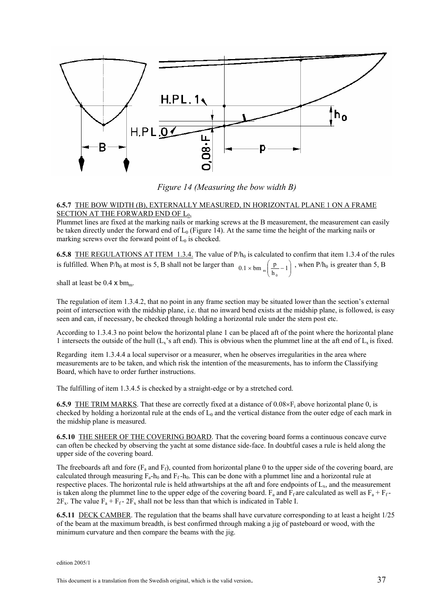

*Figure 14 (Measuring the bow width B)*

#### **6.5.7** THE BOW WIDTH (B), EXTERNALLY MEASURED, IN HORIZONTAL PLANE 1 ON A FRAME SECTION AT THE FORWARD END OF L<sub>0</sub>.

Plummet lines are fixed at the marking nails or marking screws at the B measurement, the measurement can easily be taken directly under the forward end of  $L_0$  (Figure 14). At the same time the height of the marking nails or marking screws over the forward point of  $L_0$  is checked.

**6.5.8** THE REGULATIONS AT ITEM 1.3.4. The value of  $P/h_0$  is calculated to confirm that item 1.3.4 of the rules is fulfilled. When P/h<sub>0</sub> at most is 5, B shall not be larger than  $0.1 \times$  bm  $\left[\frac{p}{h} - 1\right]$ J Ι I ∖  $0.1 \times \text{bm}_{m} \left( \frac{\text{p}}{\text{h}_0} - 1 \right)$  $\binom{p}{n-1}$ , when P/h<sub>0</sub> is greater than 5, B

shall at least be  $0.4 \times bm_m$ .

The regulation of item 1.3.4.2, that no point in any frame section may be situated lower than the section's external point of intersection with the midship plane, i.e. that no inward bend exists at the midship plane, is followed, is easy seen and can, if necessary, be checked through holding a horizontal rule under the stern post etc.

According to 1.3.4.3 no point below the horizontal plane 1 can be placed aft of the point where the horizontal plane 1 intersects the outside of the hull  $(L_x)$ 's aft end). This is obvious when the plummet line at the aft end of  $L_x$  is fixed.

Regarding item 1.3.4.4 a local supervisor or a measurer, when he observes irregularities in the area where measurements are to be taken, and which risk the intention of the measurements, has to inform the Classifying Board, which have to order further instructions.

The fulfilling of item 1.3.4.5 is checked by a straight-edge or by a stretched cord.

**6.5.9** THE TRIM MARKS. That these are correctly fixed at a distance of  $0.08 \times F_i$  above horizontal plane 0, is checked by holding a horizontal rule at the ends of  $L_0$  and the vertical distance from the outer edge of each mark in the midship plane is measured.

**6.5.10** THE SHEER OF THE COVERING BOARD. That the covering board forms a continuous concave curve can often be checked by observing the yacht at some distance side-face. In doubtful cases a rule is held along the upper side of the covering board.

The freeboards aft and fore  $(F_a$  and  $F_f$ ), counted from horizontal plane 0 to the upper side of the covering board, are calculated through measuring  $F_a-h_0$  and  $F_f-h_0$ . This can be done with a plummet line and a horizontal rule at respective places. The horizontal rule is held athwartships at the aft and fore endpoints of  $L<sub>x</sub>$ , and the measurement is taken along the plummet line to the upper edge of the covering board. F<sub>a</sub> and F<sub>f</sub> are calculated as well as  $F_a + F_f$ - $2F_x$ . The value  $F_a + F_f - 2F_x$  shall not be less than that which is indicated in Table I.

**6.5.11** DECK CAMBER. The regulation that the beams shall have curvature corresponding to at least a height 1/25 of the beam at the maximum breadth, is best confirmed through making a jig of pasteboard or wood, with the minimum curvature and then compare the beams with the jig.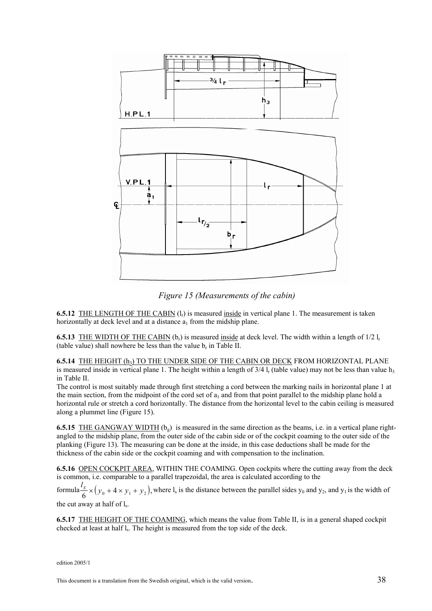



**6.5.12** THE LENGTH OF THE CABIN (1<sub>c</sub>) is measured inside in vertical plane 1. The measurement is taken horizontally at deck level and at a distance  $a_1$  from the midship plane.

**6.5.13** THE WIDTH OF THE CABIN  $(b_r)$  is measured inside at deck level. The width within a length of  $1/2$  l<sub>r</sub> (table value) shall nowhere be less than the value  $b_r$  in Table II.

**6.5.14** THE HEIGHT (h<sub>3</sub>) TO THE UNDER SIDE OF THE CABIN OR DECK FROM HORIZONTAL PLANE is measured inside in vertical plane 1. The height within a length of  $3/4$  l<sub>r</sub> (table value) may not be less than value h<sub>3</sub> in Table II.

The control is most suitably made through first stretching a cord between the marking nails in horizontal plane 1 at the main section, from the midpoint of the cord set of  $a_1$  and from that point parallel to the midship plane hold a horizontal rule or stretch a cord horizontally. The distance from the horizontal level to the cabin ceiling is measured along a plummet line (Figure 15).

**6.5.15** THE GANGWAY WIDTH  $(b<sub>e</sub>)$  is measured in the same direction as the beams, i.e. in a vertical plane rightangled to the midship plane, from the outer side of the cabin side or of the cockpit coaming to the outer side of the planking (Figure 13). The measuring can be done at the inside, in this case deductions shall be made for the thickness of the cabin side or the cockpit coaming and with compensation to the inclination.

**6.5.16** OPEN COCKPIT AREA, WITHIN THE COAMING. Open cockpits where the cutting away from the deck is common, i.e. comparable to a parallel trapezoidal, the area is calculated according to the

formula  $\frac{l_s}{6}$  ×  $(y_0 + 4 \times y_1 + y_2)$ , where  $l_s$  is the distance between the parallel sides y<sub>0</sub> and y<sub>2</sub>, and y<sub>1</sub> is the width of the cut away at half of  $l_s$ .

**6.5.17** THE HEIGHT OF THE COAMING, which means the value from Table II, is in a general shaped cockpit checked at least at half l<sub>s</sub>. The height is measured from the top side of the deck.

edition 2005/1

This document is a translation from the Swedish original, which is the valid version.  $38$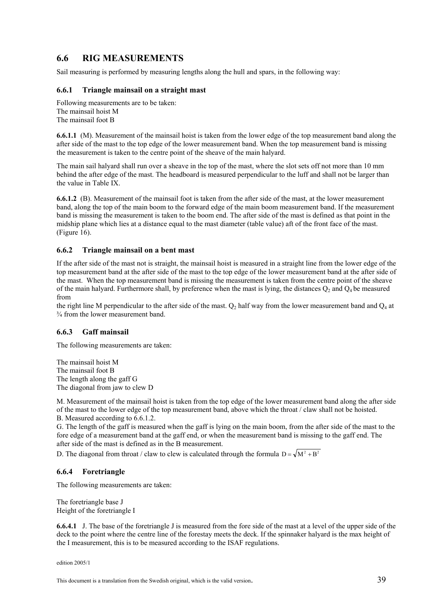## **6.6 RIG MEASUREMENTS**

Sail measuring is performed by measuring lengths along the hull and spars, in the following way:

#### **6.6.1 Triangle mainsail on a straight mast**

Following measurements are to be taken: The mainsail hoist M The mainsail foot B

**6.6.1.1** (M). Measurement of the mainsail hoist is taken from the lower edge of the top measurement band along the after side of the mast to the top edge of the lower measurement band. When the top measurement band is missing the measurement is taken to the centre point of the sheave of the main halyard.

The main sail halyard shall run over a sheave in the top of the mast, where the slot sets off not more than 10 mm behind the after edge of the mast. The headboard is measured perpendicular to the luff and shall not be larger than the value in Table IX.

**6.6.1.2** (B). Measurement of the mainsail foot is taken from the after side of the mast, at the lower measurement band, along the top of the main boom to the forward edge of the main boom measurement band. If the measurement band is missing the measurement is taken to the boom end. The after side of the mast is defined as that point in the midship plane which lies at a distance equal to the mast diameter (table value) aft of the front face of the mast. (Figure 16).

#### **6.6.2 Triangle mainsail on a bent mast**

If the after side of the mast not is straight, the mainsail hoist is measured in a straight line from the lower edge of the top measurement band at the after side of the mast to the top edge of the lower measurement band at the after side of the mast. When the top measurement band is missing the measurement is taken from the centre point of the sheave of the main halyard. Furthermore shall, by preference when the mast is lying, the distances  $Q_2$  and  $Q_4$  be measured from

the right line M perpendicular to the after side of the mast.  $Q_2$  half way from the lower measurement band and  $Q_4$  at ¾ from the lower measurement band.

#### **6.6.3 Gaff mainsail**

The following measurements are taken:

The mainsail hoist M The mainsail foot B The length along the gaff G The diagonal from jaw to clew D

M. Measurement of the mainsail hoist is taken from the top edge of the lower measurement band along the after side of the mast to the lower edge of the top measurement band, above which the throat / claw shall not be hoisted. B. Measured according to 6.6.1.2.

G. The length of the gaff is measured when the gaff is lying on the main boom, from the after side of the mast to the fore edge of a measurement band at the gaff end, or when the measurement band is missing to the gaff end. The after side of the mast is defined as in the B measurement.

D. The diagonal from throat / claw to clew is calculated through the formula  $D = \sqrt{M^2 + B^2}$ 

#### **6.6.4 Foretriangle**

The following measurements are taken:

The foretriangle base J Height of the foretriangle I

**6.6.4.1** J. The base of the foretriangle J is measured from the fore side of the mast at a level of the upper side of the deck to the point where the centre line of the forestay meets the deck. If the spinnaker halyard is the max height of the I measurement, this is to be measured according to the ISAF regulations.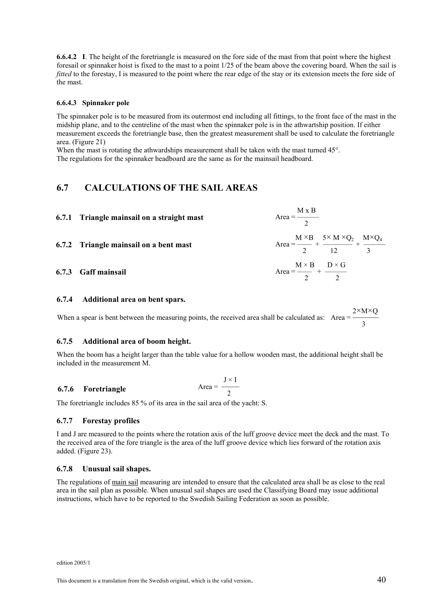**6.6.4.2 I**. The height of the foretriangle is measured on the fore side of the mast from that point where the highest foresail or spinnaker hoist is fixed to the mast to a point 1/25 of the beam above the covering board. When the sail is *fitted* to the forestay, I is measured to the point where the rear edge of the stay or its extension meets the fore side of the mast.

#### **6.6.4.3 Spinnaker pole**

The spinnaker pole is to be measured from its outermost end including all fittings, to the front face of the mast in the midship plane, and to the centreline of the mast when the spinnaker pole is in the athwartship position. If either measurement exceeds the foretriangle base, then the greatest measurement shall be used to calculate the foretriangle area. (Figure 21)

When the mast is rotating the athwardships measurement shall be taken with the mast turned 45°. The regulations for the spinnaker headboard are the same as for the mainsail headboard.

## **6.7 CALCULATIONS OF THE SAIL AREAS**

| 6.7.1 Triangle mainsail on a straight mast | Area = $\frac{M \times B}{2}$                                                            |
|--------------------------------------------|------------------------------------------------------------------------------------------|
| 6.7.2 Triangle mainsail on a bent mast     | Area $=\frac{M \times B}{2} + \frac{5 \times M \times Q_2}{12} + \frac{M \times Q_4}{3}$ |
| 6.7.3 Gaff mainsail                        | Area = $\frac{M \times B}{2}$ + $\frac{D \times G}{2}$                                   |

#### **6.7.4 Additional area on bent spars.**

When a spear is bent between the measuring points, the received area shall be calculated as:  $2\times M\times Q$ Area =  $\frac{2 \text{ m/s}}{3}$ 

#### **6.7.5 Additional area of boom height.**

When the boom has a height larger than the table value for a hollow wooden mast, the additional height shall be included in the measurement M.

6.7.6 Foretriangle Area = 
$$
\frac{J \times I}{2}
$$

The foretriangle includes 85 % of its area in the sail area of the yacht: S.

#### **6.7.7 Forestay profiles**

I and J are measured to the points where the rotation axis of the luff groove device meet the deck and the mast. To the received area of the fore triangle is the area of the luff groove device which lies forward of the rotation axis added. (Figure 23).

#### **6.7.8 Unusual sail shapes.**

The regulations of main sail measuring are intended to ensure that the calculated area shall be as close to the real area in the sail plan as possible. When unusual sail shapes are used the Classifying Board may issue additional instructions, which have to be reported to the Swedish Sailing Federation as soon as possible.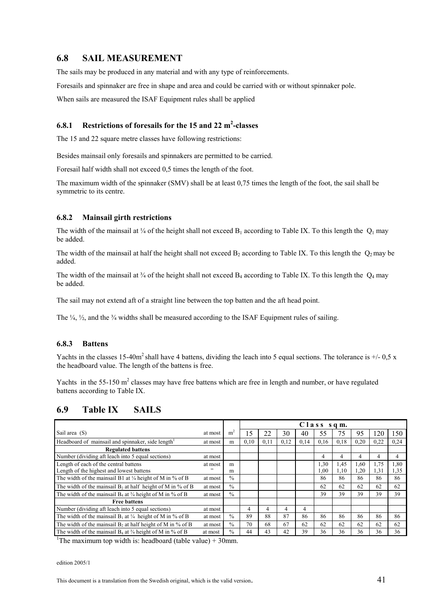## **6.8 SAIL MEASUREMENT**

The sails may be produced in any material and with any type of reinforcements.

Foresails and spinnaker are free in shape and area and could be carried with or without spinnaker pole. When sails are measured the ISAF Equipment rules shall be applied

#### **6.8.1** Restrictions of foresails for the 15 and 22 m<sup>2</sup>-classes

The 15 and 22 square metre classes have following restrictions:

Besides mainsail only foresails and spinnakers are permitted to be carried.

Foresail half width shall not exceed 0,5 times the length of the foot.

The maximum width of the spinnaker (SMV) shall be at least 0,75 times the length of the foot, the sail shall be symmetric to its centre.

#### **6.8.2 Mainsail girth restrictions**

The width of the mainsail at  $\frac{1}{4}$  of the height shall not exceed B<sub>1</sub> according to Table IX. To this length the Q<sub>1</sub> may be added.

The width of the mainsail at half the height shall not exceed  $B_2$  according to Table IX. To this length the  $Q_2$  may be added.

The width of the mainsail at  $\frac{3}{4}$  of the height shall not exceed B<sub>4</sub> according to Table IX. To this length the  $Q_4$  may be added.

The sail may not extend aft of a straight line between the top batten and the aft head point.

The  $\frac{1}{4}$ ,  $\frac{1}{2}$ , and the  $\frac{3}{4}$  widths shall be measured according to the ISAF Equipment rules of sailing.

#### **6.8.3 Battens**

Yachts in the classes 15-40m<sup>2</sup> shall have 4 battens, dividing the leach into 5 equal sections. The tolerance is  $+/$ -0,5 x the headboard value. The length of the battens is free.

Yachts in the 55-150  $m^2$  classes may have free battens which are free in length and number, or have regulated battens according to Table IX.

#### **6.9 Table IX SAILS**

|                                                                        |         |                | $C$ l a s s s q m. |      |      |      |          |      |      |      |      |
|------------------------------------------------------------------------|---------|----------------|--------------------|------|------|------|----------|------|------|------|------|
| Sail area (S)                                                          | at most | m <sup>2</sup> | 15                 |      | 30   | 40   | 55       | 75   | 95   | 120  | 150  |
| Headboard of mainsail and spinnaker, side length <sup>1</sup>          | at most | m              | 0,10               | 0,11 | 0,12 | 0,14 | 0,16     | 0.18 | 0,20 | 0,22 | 0,24 |
| <b>Regulated battens</b>                                               |         |                |                    |      |      |      |          |      |      |      |      |
| Number (dividing aft leach into 5 equal sections)                      | at most |                |                    |      |      |      |          | 4    | 4    | 4    | 4    |
| Length of each of the central battens                                  | at most | m              |                    |      |      |      | 1,30     | .45  | 1.60 | 1,75 | 1.80 |
| Length of the highest and lowest battens                               | , 2     | m              |                    |      |      |      | $1.00\,$ | 1,10 | 1,20 | 1.31 | 1,35 |
| The width of the mainsail B1 at $\frac{1}{4}$ height of M in % of B    | at most | $\frac{0}{0}$  |                    |      |      |      | 86       | 86   | 86   | 86   | 86   |
| The width of the mainsail $B_2$ at half height of M in % of B          | at most | $\frac{0}{0}$  |                    |      |      |      | 62       | 62   | 62   | 62   | 62   |
| The width of the mainsail $B_4$ at $\frac{3}{4}$ height of M in % of B | at most | $\frac{0}{0}$  |                    |      |      |      | 39       | 39   | 39   | 39   | 39   |
| <b>Free battens</b>                                                    |         |                |                    |      |      |      |          |      |      |      |      |
| Number (dividing aft leach into 5 equal sections)                      | at most |                | 4                  | 4    | 4    | 4    |          |      |      |      |      |
| The width of the mainsail $B_1$ at $\frac{1}{4}$ height of M in % of B | at most | $\frac{0}{0}$  | 89                 | 88   | 87   | 86   | 86       | 86   | 86   | 86   | 86   |
| The width of the mainsail $B_2$ at half height of M in % of B          | at most | $\frac{0}{0}$  | 70                 | 68   | 67   | 62   | 62       | 62   | 62   | 62   | 62   |
| The width of the mainsail $B_4$ at $\frac{3}{4}$ height of M in % of B | at most | $\%$           | 44                 | 43   | 42   | 39   | 36       | 36   | 36   | 36   | 36   |

<sup>1</sup>The maximum top width is: headboard (table value) + 30mm.

edition 2005/1

This document is a translation from the Swedish original, which is the valid version.  $41$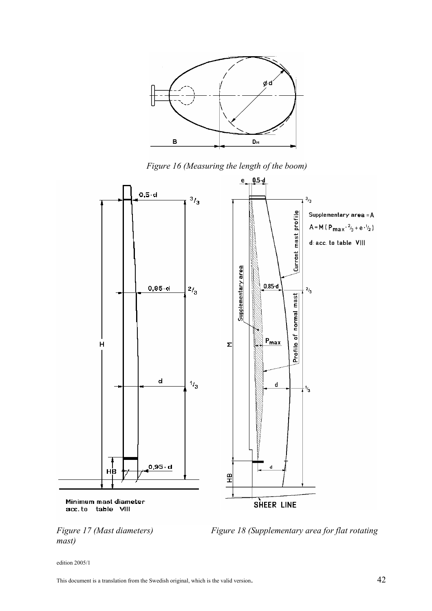

*Figure 16 (Measuring the length of the boom)* 





*Figure 17 (Mast diameters) Figure 18 (Supplementary area for flat rotating*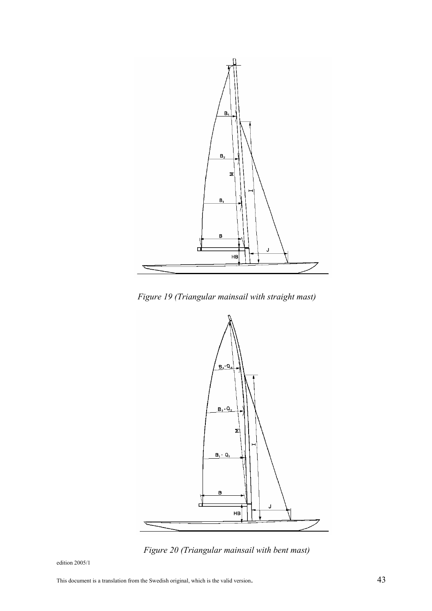

*Figure 19 (Triangular mainsail with straight mast)* 



*Figure 20 (Triangular mainsail with bent mast)*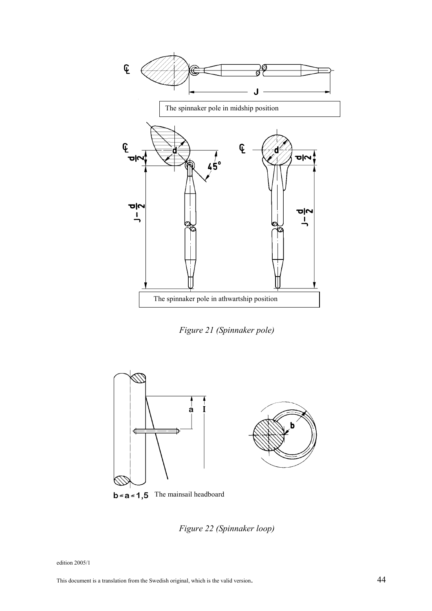

*Figure 21 (Spinnaker pole)* 



*Figure 22 (Spinnaker loop)*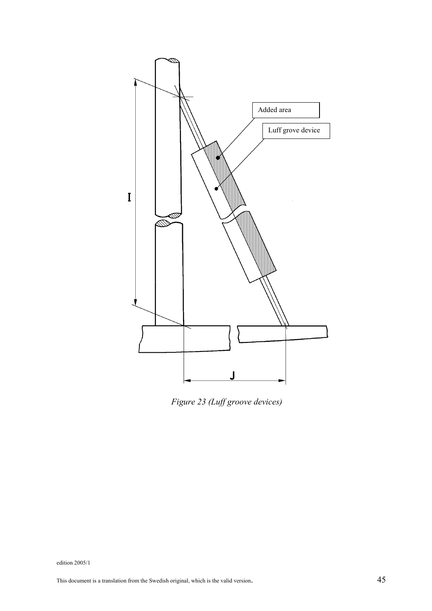

*Figure 23 (Luff groove devices)*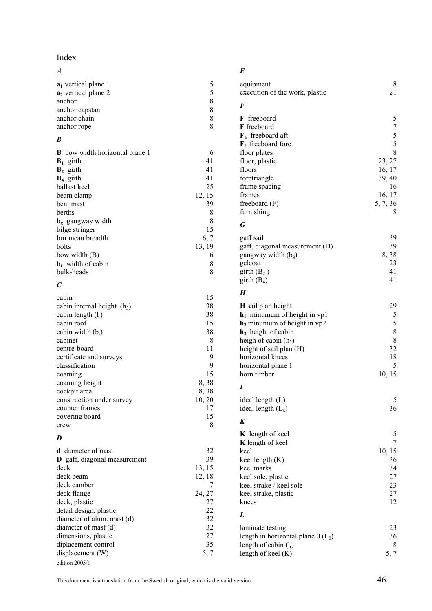## Index

## *A*

| $a_1$ vertical plane 1 |  |
|------------------------|--|
| $a2$ vertical plane 2  |  |
| anchor                 |  |
| anchor capstan         |  |
| anchor chain           |  |
| anchor rope            |  |

## *B*

| <b>B</b> bow width horizontal plane 1 |        |
|---------------------------------------|--------|
| $B_1$ girth                           | 41     |
| $B_2$ girth                           | 41     |
| $B_4$ girth                           | 41     |
| ballast keel                          | 25     |
| beam clamp                            | 12, 15 |
| bent mast                             | 39     |
| berths                                | 8      |
| $\mathbf{b}_{g}$ gangway width        | 8      |
| bilge stringer                        | 15     |
| <b>bm</b> mean breadth                | 6, 7   |
| bolts                                 | 13, 19 |
| bow width (B)                         | 6      |
| $\mathbf{b}_r$ , width of cabin       | 8      |
| bulk-heads                            | 8      |

## *C*

| cabin                         | 15     |
|-------------------------------|--------|
| cabin internal height $(h_3)$ | 38     |
| cabin length $(l_r)$          | 38     |
| cabin roof                    | 15     |
| cabin width $(br)$            | 38     |
| cabinet                       | 8      |
| centre-board                  | 11     |
| certificate and surveys       | 9      |
| classification                | 9      |
| coaming                       | 15     |
| coaming height                | 8,38   |
| cockpit area                  | 8,38   |
| construction under survey     | 10, 20 |
| counter frames                | 17     |
| covering board                | 15     |
| crew                          | 8      |

#### *D*

| <b>d</b> diameter of mast           | 32     |
|-------------------------------------|--------|
| <b>D</b> gaff, diagonal measurement | 39     |
| deck                                | 13, 15 |
| deck beam                           | 12, 18 |
| deck camber                         |        |
| deck flange                         | 24, 27 |
| deck, plastic                       | 27     |
| detail design, plastic              | 22     |
| diameter of alum. mast (d)          | 32     |
| diameter of mast (d)                | 32     |
| dimensions, plastic                 | 27     |
| diplacement control                 | 35     |
| displacement (W)                    | 5.7    |
| edition 2005/1                      |        |

## *E*

| equipment<br>execution of the work, plastic                                                                                                                                                                                          | 8<br>21                                                                                                |
|--------------------------------------------------------------------------------------------------------------------------------------------------------------------------------------------------------------------------------------|--------------------------------------------------------------------------------------------------------|
| F                                                                                                                                                                                                                                    |                                                                                                        |
| freeboard<br>F<br>F freeboard<br>$\mathbf{F}_a$ freeboard aft<br>$\mathbf{F}_{\mathbf{f}}$ freeboard fore<br>floor plates<br>floor, plastic<br>floors<br>foretriangle<br>frame spacing<br>frames<br>freeboard (F)<br>furnishing      | 5<br>$\overline{7}$<br>$rac{5}{5}$<br>8<br>23, 27<br>16, 17<br>39, 40<br>16<br>16, 17<br>5, 7, 36<br>8 |
| G                                                                                                                                                                                                                                    |                                                                                                        |
| gaff sail<br>gaff, diagonal measurement (D)<br>gangway width $(bg)$<br>gelcoat<br>girth(B <sub>2</sub> )<br>girth $(B_4)$                                                                                                            | 39<br>39<br>8,38<br>23<br>41<br>41                                                                     |
| H                                                                                                                                                                                                                                    |                                                                                                        |
| <b>H</b> sail plan height<br>$h_1$ minumum of height in vp1<br>$h_2$ minumum of height in vp2<br>$h_3$ height of cabin<br>heigh of cabin $(h_3)$<br>height of sail plan (H)<br>horizontal knees<br>horizontal plane 1<br>horn timber | 29<br>5<br>5<br>8<br>8<br>32<br>18<br>5<br>10, 15                                                      |
| Ι                                                                                                                                                                                                                                    |                                                                                                        |
| ideal length $(L)$<br>ideal length $(L_x)$                                                                                                                                                                                           | 5<br>36                                                                                                |
| K<br>K length of keel<br><b>K</b> length of keel<br>keel<br>keel length (K)<br>keel marks<br>keel sole, plastic<br>keel strake / keel sole<br>keel strake, plastic<br>knees                                                          | 5<br>7<br>10, 15<br>36<br>34<br>27<br>23<br>27<br>12                                                   |
| L                                                                                                                                                                                                                                    |                                                                                                        |
| laminate testing<br>length in horizontal plane $0$ ( $L_0$ )<br>length of cabin $(l_r)$<br>length of keel (K)                                                                                                                        | 23<br>36<br>8<br>5, 7                                                                                  |

This document is a translation from the Swedish original, which is the valid version.  $46$